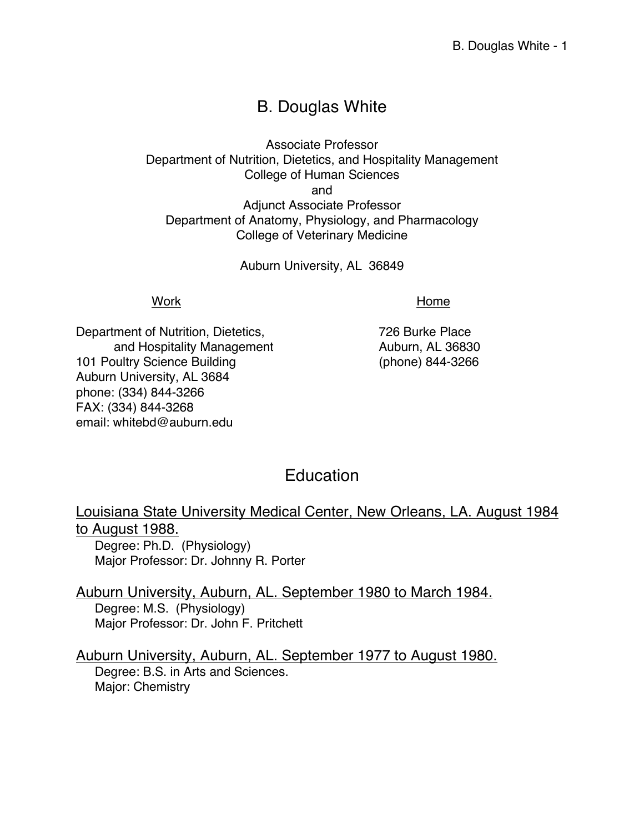# B. Douglas White

Associate Professor Department of Nutrition, Dietetics, and Hospitality Management College of Human Sciences and Adjunct Associate Professor Department of Anatomy, Physiology, and Pharmacology College of Veterinary Medicine

Auburn University, AL 36849

Work **Music Contract Contract Contract Contract Contract Contract Contract Contract Contract Contract Contract Contract Contract Contract Contract Contract Contract Contract Contract Contract Contract Contract Contract Con** 

Department of Nutrition, Dietetics, The Manuscriptus 726 Burke Place and Hospitality Management Auburn, AL 36830 101 Poultry Science Building (phone) 844-3266 Auburn University, AL 3684 phone: (334) 844-3266 FAX: (334) 844-3268 email: whitebd@auburn.edu

# **Education**

Louisiana State University Medical Center, New Orleans, LA. August 1984 to August 1988.

Degree: Ph.D. (Physiology) Major Professor: Dr. Johnny R. Porter

Auburn University, Auburn, AL. September 1980 to March 1984. Degree: M.S. (Physiology) Major Professor: Dr. John F. Pritchett

Auburn University, Auburn, AL. September 1977 to August 1980. Degree: B.S. in Arts and Sciences. Major: Chemistry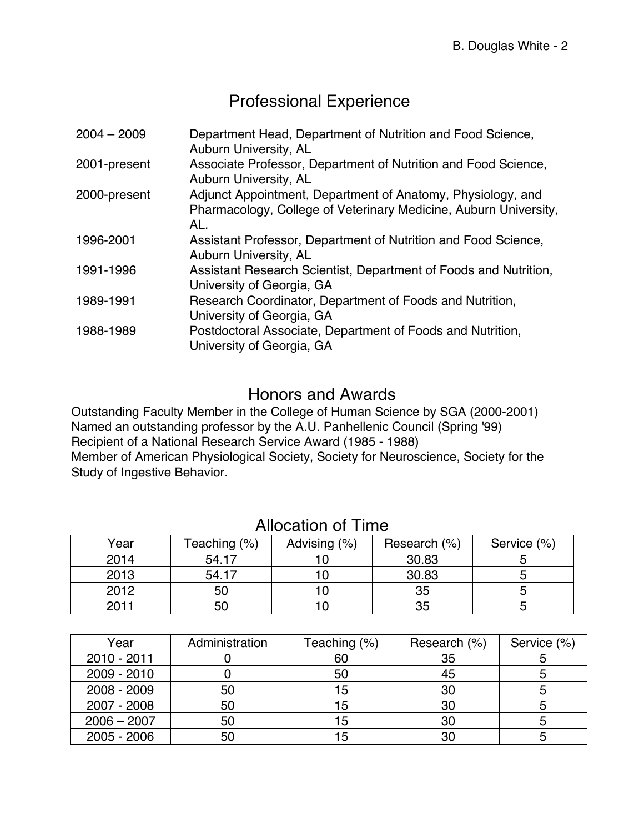# Professional Experience

| $2004 - 2009$ | Department Head, Department of Nutrition and Food Science,<br>Auburn University, AL                                                    |
|---------------|----------------------------------------------------------------------------------------------------------------------------------------|
| 2001-present  | Associate Professor, Department of Nutrition and Food Science,<br>Auburn University, AL                                                |
| 2000-present  | Adjunct Appointment, Department of Anatomy, Physiology, and<br>Pharmacology, College of Veterinary Medicine, Auburn University,<br>AL. |
| 1996-2001     | Assistant Professor, Department of Nutrition and Food Science,<br>Auburn University, AL                                                |
| 1991-1996     | Assistant Research Scientist, Department of Foods and Nutrition,<br>University of Georgia, GA                                          |
| 1989-1991     | Research Coordinator, Department of Foods and Nutrition,<br>University of Georgia, GA                                                  |
| 1988-1989     | Postdoctoral Associate, Department of Foods and Nutrition,<br>University of Georgia, GA                                                |

# Honors and Awards

Outstanding Faculty Member in the College of Human Science by SGA (2000-2001) Named an outstanding professor by the A.U. Panhellenic Council (Spring '99) Recipient of a National Research Service Award (1985 - 1988) Member of American Physiological Society, Society for Neuroscience, Society for the Study of Ingestive Behavior.

| Year | Teaching (%) | Advising (%) | Research (%) | Service (%) |
|------|--------------|--------------|--------------|-------------|
| 2014 | 54.17        |              | 30.83        |             |
| 2013 | 54.17        |              | 30.83        |             |
| 2012 | 50           |              | 35           |             |
| 2011 | 50           |              | 35           |             |

# Allocation of Time

| Year          | Administration | Teaching (%) | Research (%) | Service (%) |
|---------------|----------------|--------------|--------------|-------------|
| 2010 - 2011   |                | 60           | 35           |             |
| 2009 - 2010   |                | 50           | 45           |             |
| 2008 - 2009   | 50             | -5           | 30           |             |
| 2007 - 2008   | 50             |              | 30           |             |
| $2006 - 2007$ | 50             | 5            | 30           |             |
| $2005 - 2006$ | 50             |              | 30           |             |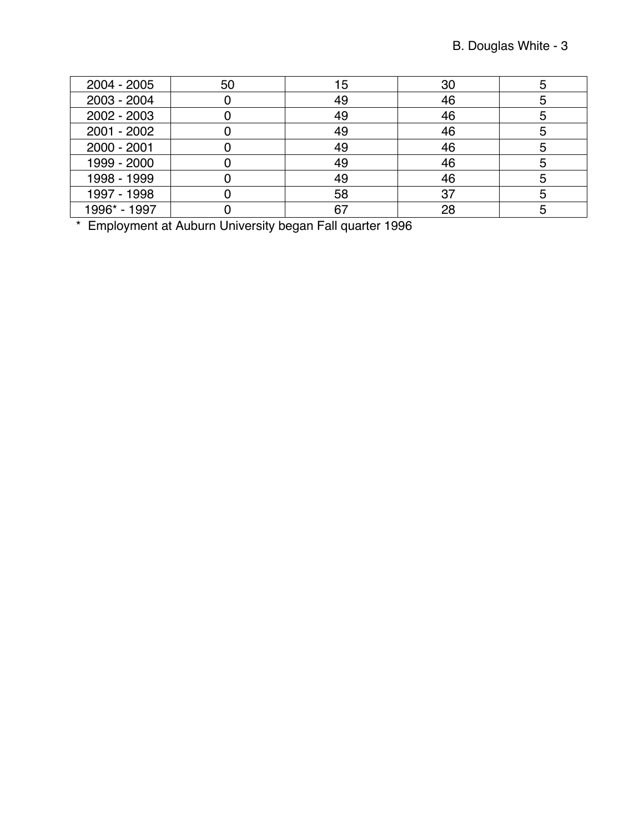| $2004 - 2005$ | 50 | 15 | 30 |  |
|---------------|----|----|----|--|
| 2003 - 2004   |    | 49 | 46 |  |
| 2002 - 2003   |    | 49 | 46 |  |
| $2001 - 2002$ |    | 49 | 46 |  |
| 2000 - 2001   |    | 49 | 46 |  |
| 1999 - 2000   |    | 49 | 46 |  |
| 1998 - 1999   |    | 49 | 46 |  |
| 1997 - 1998   |    | 58 | 37 |  |
| 1996* - 1997  |    |    | 28 |  |

\* Employment at Auburn University began Fall quarter 1996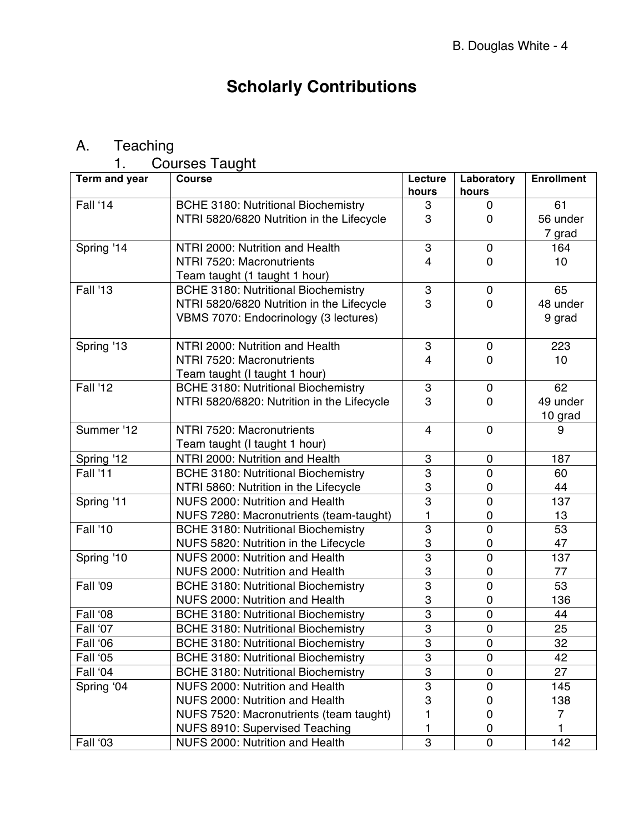# **Scholarly Contributions**

# A. Teaching

1. Courses Taught

| Term and year   | Course                                     | Lecture          | Laboratory     | <b>Enrollment</b> |
|-----------------|--------------------------------------------|------------------|----------------|-------------------|
|                 |                                            | hours            | hours          |                   |
| Fall '14        | <b>BCHE 3180: Nutritional Biochemistry</b> | 3                | 0              | 61                |
|                 | NTRI 5820/6820 Nutrition in the Lifecycle  | 3                | $\mathbf 0$    | 56 under          |
|                 |                                            |                  |                | 7 grad            |
| Spring '14      | NTRI 2000: Nutrition and Health            | 3                | $\mathbf 0$    | 164               |
|                 | NTRI 7520: Macronutrients                  | 4                | $\mathbf 0$    | 10                |
|                 | Team taught (1 taught 1 hour)              |                  |                |                   |
| <b>Fall '13</b> | <b>BCHE 3180: Nutritional Biochemistry</b> | $\boldsymbol{3}$ | $\mathbf 0$    | 65                |
|                 | NTRI 5820/6820 Nutrition in the Lifecycle  | 3                | 0              | 48 under          |
|                 | VBMS 7070: Endocrinology (3 lectures)      |                  |                | 9 grad            |
|                 |                                            |                  |                |                   |
| Spring '13      | NTRI 2000: Nutrition and Health            | 3                | $\mathbf 0$    | 223               |
|                 | NTRI 7520: Macronutrients                  | 4                | 0              | 10                |
|                 | Team taught (I taught 1 hour)              |                  |                |                   |
| <b>Fall '12</b> | <b>BCHE 3180: Nutritional Biochemistry</b> | $\boldsymbol{3}$ | $\mathbf 0$    | 62                |
|                 | NTRI 5820/6820: Nutrition in the Lifecycle | 3                | $\mathbf 0$    | 49 under          |
|                 |                                            |                  |                | 10 grad           |
| Summer '12      | NTRI 7520: Macronutrients                  | $\overline{4}$   | $\mathbf 0$    | 9                 |
|                 | Team taught (I taught 1 hour)              |                  |                |                   |
| Spring '12      | NTRI 2000: Nutrition and Health            | 3                | $\mathbf 0$    | 187               |
| <b>Fall '11</b> | <b>BCHE 3180: Nutritional Biochemistry</b> | 3                | $\overline{0}$ | 60                |
|                 | NTRI 5860: Nutrition in the Lifecycle      | 3                | $\mathbf 0$    | 44                |
| Spring '11      | NUFS 2000: Nutrition and Health            | $\overline{3}$   | $\overline{0}$ | 137               |
|                 | NUFS 7280: Macronutrients (team-taught)    | 1                | 0              | 13                |
| <b>Fall '10</b> | <b>BCHE 3180: Nutritional Biochemistry</b> | 3                | $\overline{0}$ | 53                |
|                 | NUFS 5820: Nutrition in the Lifecycle      | 3                | $\pmb{0}$      | 47                |
| Spring '10      | NUFS 2000: Nutrition and Health            | 3                | $\overline{0}$ | 137               |
|                 | NUFS 2000: Nutrition and Health            | 3                | 0              | 77                |
| Fall '09        | <b>BCHE 3180: Nutritional Biochemistry</b> | 3                | $\overline{0}$ | 53                |
|                 | NUFS 2000: Nutrition and Health            | 3                | $\mathbf 0$    | 136               |
| Fall '08        | <b>BCHE 3180: Nutritional Biochemistry</b> | $\overline{3}$   | $\overline{0}$ | 44                |
| Fall '07        | <b>BCHE 3180: Nutritional Biochemistry</b> | 3                | $\pmb{0}$      | 25                |
| Fall '06        | <b>BCHE 3180: Nutritional Biochemistry</b> | 3                | $\pmb{0}$      | 32                |
| Fall '05        | <b>BCHE 3180: Nutritional Biochemistry</b> | 3                | $\overline{0}$ | 42                |
| Fall '04        | <b>BCHE 3180: Nutritional Biochemistry</b> | 3                | 0              | 27                |
| Spring '04      | NUFS 2000: Nutrition and Health            | 3                | 0              | 145               |
|                 | NUFS 2000: Nutrition and Health            | 3                | 0              | 138               |
|                 | NUFS 7520: Macronutrients (team taught)    | 1                | 0              | 7                 |
|                 | NUFS 8910: Supervised Teaching             | 1                | 0              |                   |
| Fall '03        | NUFS 2000: Nutrition and Health            | 3                | 0              | 142               |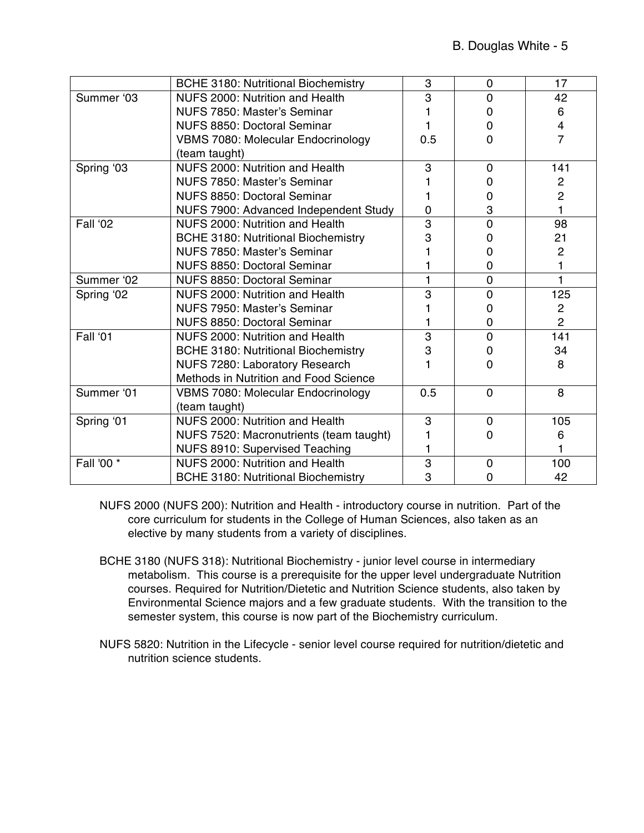|            | <b>BCHE 3180: Nutritional Biochemistry</b> | 3   | 0              | 17                      |
|------------|--------------------------------------------|-----|----------------|-------------------------|
| Summer '03 | NUFS 2000: Nutrition and Health            | 3   | $\Omega$       | 42                      |
|            | NUFS 7850: Master's Seminar                |     | $\Omega$       | 6                       |
|            | NUFS 8850: Doctoral Seminar                |     | 0              | $\overline{\mathbf{4}}$ |
|            | <b>VBMS 7080: Molecular Endocrinology</b>  | 0.5 | $\Omega$       | $\overline{7}$          |
|            | (team taught)                              |     |                |                         |
| Spring '03 | NUFS 2000: Nutrition and Health            | 3   | 0              | 141                     |
|            | NUFS 7850: Master's Seminar                |     | $\Omega$       | $\overline{c}$          |
|            | <b>NUFS 8850: Doctoral Seminar</b>         |     | 0              | $\overline{2}$          |
|            | NUFS 7900: Advanced Independent Study      | 0   | 3              | 1                       |
| Fall '02   | NUFS 2000: Nutrition and Health            | 3   | $\Omega$       | 98                      |
|            | <b>BCHE 3180: Nutritional Biochemistry</b> | 3   | 0              | 21                      |
|            | NUFS 7850: Master's Seminar                |     | 0              | $\overline{c}$          |
|            | NUFS 8850: Doctoral Seminar                |     | 0              |                         |
| Summer '02 | <b>NUFS 8850: Doctoral Seminar</b>         | 1   | $\overline{0}$ | 1                       |
| Spring '02 | NUFS 2000: Nutrition and Health            | 3   | $\overline{0}$ | 125                     |
|            | NUFS 7950: Master's Seminar                |     | 0              | $\overline{2}$          |
|            | NUFS 8850: Doctoral Seminar                |     | 0              | $\overline{2}$          |
| Fall '01   | NUFS 2000: Nutrition and Health            | 3   | $\overline{0}$ | 141                     |
|            | <b>BCHE 3180: Nutritional Biochemistry</b> | 3   | $\Omega$       | 34                      |
|            | NUFS 7280: Laboratory Research             |     | $\Omega$       | 8                       |
|            | Methods in Nutrition and Food Science      |     |                |                         |
| Summer '01 | <b>VBMS 7080: Molecular Endocrinology</b>  | 0.5 | $\Omega$       | 8                       |
|            | (team taught)                              |     |                |                         |
| Spring '01 | NUFS 2000: Nutrition and Health            | 3   | $\mathbf 0$    | 105                     |
|            | NUFS 7520: Macronutrients (team taught)    |     | 0              | 6                       |
|            | NUFS 8910: Supervised Teaching             | 1   |                |                         |
| Fall '00 * | NUFS 2000: Nutrition and Health            | 3   | $\Omega$       | 100                     |
|            | <b>BCHE 3180: Nutritional Biochemistry</b> | 3   | 0              | 42                      |

- NUFS 2000 (NUFS 200): Nutrition and Health introductory course in nutrition. Part of the core curriculum for students in the College of Human Sciences, also taken as an elective by many students from a variety of disciplines.
- BCHE 3180 (NUFS 318): Nutritional Biochemistry junior level course in intermediary metabolism. This course is a prerequisite for the upper level undergraduate Nutrition courses. Required for Nutrition/Dietetic and Nutrition Science students, also taken by Environmental Science majors and a few graduate students. With the transition to the semester system, this course is now part of the Biochemistry curriculum.
- NUFS 5820: Nutrition in the Lifecycle senior level course required for nutrition/dietetic and nutrition science students.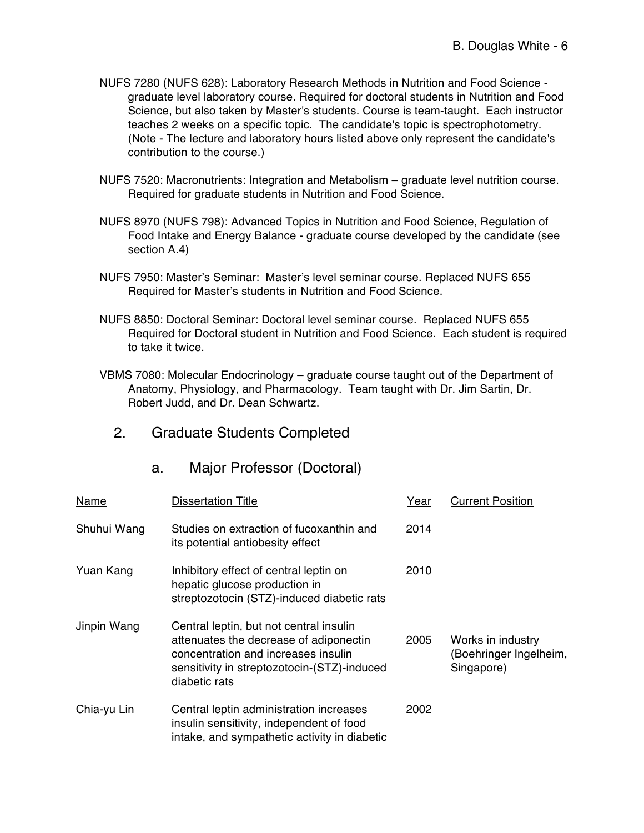- NUFS 7280 (NUFS 628): Laboratory Research Methods in Nutrition and Food Science graduate level laboratory course. Required for doctoral students in Nutrition and Food Science, but also taken by Master's students. Course is team-taught. Each instructor teaches 2 weeks on a specific topic. The candidate's topic is spectrophotometry. (Note - The lecture and laboratory hours listed above only represent the candidate's contribution to the course.)
- NUFS 7520: Macronutrients: Integration and Metabolism graduate level nutrition course. Required for graduate students in Nutrition and Food Science.
- NUFS 8970 (NUFS 798): Advanced Topics in Nutrition and Food Science, Regulation of Food Intake and Energy Balance - graduate course developed by the candidate (see section A.4)
- NUFS 7950: Master's Seminar: Master's level seminar course. Replaced NUFS 655 Required for Master's students in Nutrition and Food Science.
- NUFS 8850: Doctoral Seminar: Doctoral level seminar course. Replaced NUFS 655 Required for Doctoral student in Nutrition and Food Science. Each student is required to take it twice.
- VBMS 7080: Molecular Endocrinology graduate course taught out of the Department of Anatomy, Physiology, and Pharmacology. Team taught with Dr. Jim Sartin, Dr. Robert Judd, and Dr. Dean Schwartz.
	- 2. Graduate Students Completed

| Name        | <b>Dissertation Title</b>                                                                                                                                                                | Year | <b>Current Position</b>                                   |
|-------------|------------------------------------------------------------------------------------------------------------------------------------------------------------------------------------------|------|-----------------------------------------------------------|
| Shuhui Wang | Studies on extraction of fucoxanthin and<br>its potential antiobesity effect                                                                                                             | 2014 |                                                           |
| Yuan Kang   | Inhibitory effect of central leptin on<br>hepatic glucose production in<br>streptozotocin (STZ)-induced diabetic rats                                                                    | 2010 |                                                           |
| Jinpin Wang | Central leptin, but not central insulin<br>attenuates the decrease of adiponectin<br>concentration and increases insulin<br>sensitivity in streptozotocin-(STZ)-induced<br>diabetic rats | 2005 | Works in industry<br>(Boehringer Ingelheim,<br>Singapore) |
| Chia-yu Lin | Central leptin administration increases<br>insulin sensitivity, independent of food<br>intake, and sympathetic activity in diabetic                                                      | 2002 |                                                           |

a. Major Professor (Doctoral)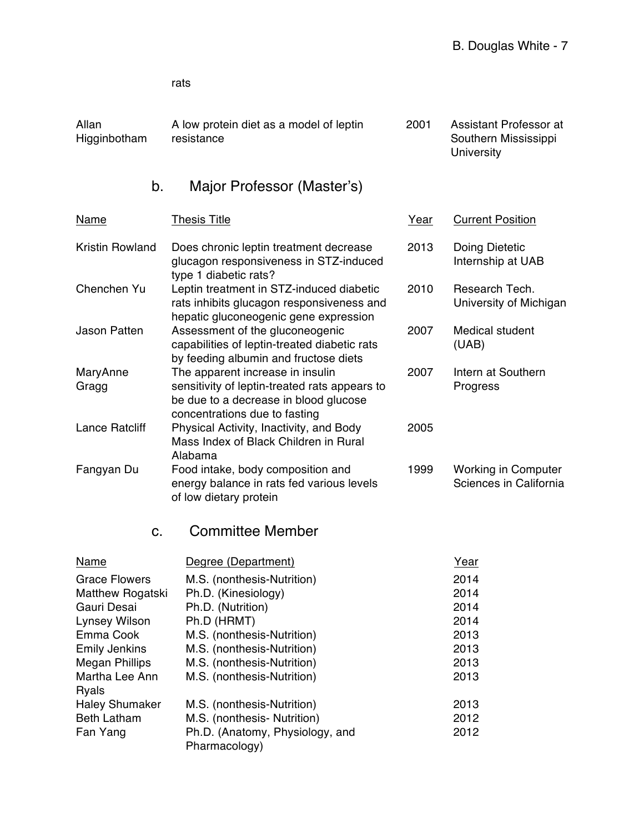rats

| Allan<br>Higginbotham          | A low protein diet as a model of leptin<br>resistance                                                                          | 2001 | Assistant Professor at<br>Southern Mississippi       |
|--------------------------------|--------------------------------------------------------------------------------------------------------------------------------|------|------------------------------------------------------|
|                                |                                                                                                                                |      | <b>University</b>                                    |
| b.                             | Major Professor (Master's)                                                                                                     |      |                                                      |
| Name                           | <b>Thesis Title</b>                                                                                                            | Year | <b>Current Position</b>                              |
| <b>Kristin Rowland</b>         | Does chronic leptin treatment decrease<br>glucagon responsiveness in STZ-induced<br>type 1 diabetic rats?                      | 2013 | Doing Dietetic<br>Internship at UAB                  |
| Chenchen Yu                    | Leptin treatment in STZ-induced diabetic<br>rats inhibits glucagon responsiveness and<br>hepatic gluconeogenic gene expression | 2010 | Research Tech.<br>University of Michigan             |
| <b>Jason Patten</b>            | Assessment of the gluconeogenic<br>capabilities of leptin-treated diabetic rats<br>by feeding albumin and fructose diets       | 2007 | Medical student<br>(UAB)                             |
| MaryAnne<br>Gragg              | The apparent increase in insulin<br>sensitivity of leptin-treated rats appears to<br>be due to a decrease in blood glucose     | 2007 | Intern at Southern<br>Progress                       |
| <b>Lance Ratcliff</b>          | concentrations due to fasting<br>Physical Activity, Inactivity, and Body<br>Mass Index of Black Children in Rural<br>Alabama   | 2005 |                                                      |
| Fangyan Du                     | Food intake, body composition and<br>energy balance in rats fed various levels<br>of low dietary protein                       | 1999 | <b>Working in Computer</b><br>Sciences in California |
| C.                             | <b>Committee Member</b>                                                                                                        |      |                                                      |
| Name                           | Degree (Department)                                                                                                            |      | Year                                                 |
| <b>Grace Flowers</b>           | M.S. (nonthesis-Nutrition)                                                                                                     |      | 2014                                                 |
| Matthew Rogatski               | Ph.D. (Kinesiology)                                                                                                            |      | 2014                                                 |
| Gauri Desai                    | Ph.D. (Nutrition)                                                                                                              |      | 2014                                                 |
| <b>Lynsey Wilson</b>           | Ph.D (HRMT)                                                                                                                    |      | 2014                                                 |
| Emma Cook                      | M.S. (nonthesis-Nutrition)                                                                                                     |      | 2013                                                 |
| <b>Emily Jenkins</b>           | M.S. (nonthesis-Nutrition)                                                                                                     |      | 2013                                                 |
| <b>Megan Phillips</b>          | M.S. (nonthesis-Nutrition)                                                                                                     |      | 2013                                                 |
| Martha Lee Ann<br><b>Ryals</b> | M.S. (nonthesis-Nutrition)                                                                                                     |      | 2013                                                 |
| <b>Haley Shumaker</b>          | M.S. (nonthesis-Nutrition)                                                                                                     |      | 2013                                                 |
| <b>Beth Latham</b>             | M.S. (nonthesis- Nutrition)                                                                                                    |      | 2012                                                 |
| Fan Yang                       | Ph.D. (Anatomy, Physiology, and<br>Pharmacology)                                                                               |      | 2012                                                 |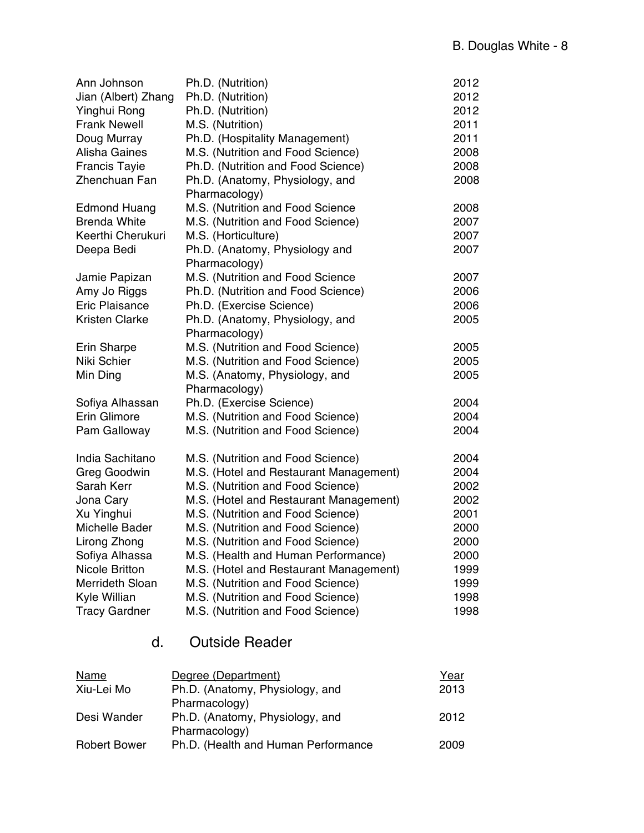| Ann Johnson<br>Jian (Albert) Zhang | Ph.D. (Nutrition)<br>Ph.D. (Nutrition) | 2012<br>2012 |
|------------------------------------|----------------------------------------|--------------|
| Yinghui Rong                       | Ph.D. (Nutrition)                      | 2012         |
| <b>Frank Newell</b>                | M.S. (Nutrition)                       | 2011         |
| Doug Murray                        | Ph.D. (Hospitality Management)         | 2011         |
| <b>Alisha Gaines</b>               | M.S. (Nutrition and Food Science)      | 2008         |
| <b>Francis Tayie</b>               | Ph.D. (Nutrition and Food Science)     | 2008         |
| Zhenchuan Fan                      | Ph.D. (Anatomy, Physiology, and        | 2008         |
|                                    | Pharmacology)                          |              |
| <b>Edmond Huang</b>                | M.S. (Nutrition and Food Science       | 2008         |
| <b>Brenda White</b>                | M.S. (Nutrition and Food Science)      | 2007         |
| Keerthi Cherukuri                  | M.S. (Horticulture)                    | 2007         |
| Deepa Bedi                         | Ph.D. (Anatomy, Physiology and         | 2007         |
|                                    | Pharmacology)                          |              |
| Jamie Papizan                      | M.S. (Nutrition and Food Science       | 2007         |
| Amy Jo Riggs                       | Ph.D. (Nutrition and Food Science)     | 2006         |
| <b>Eric Plaisance</b>              | Ph.D. (Exercise Science)               | 2006         |
| <b>Kristen Clarke</b>              | Ph.D. (Anatomy, Physiology, and        | 2005         |
|                                    | Pharmacology)                          |              |
| <b>Erin Sharpe</b>                 | M.S. (Nutrition and Food Science)      | 2005         |
| Niki Schier                        | M.S. (Nutrition and Food Science)      | 2005         |
| Min Ding                           | M.S. (Anatomy, Physiology, and         | 2005         |
|                                    | Pharmacology)                          |              |
| Sofiya Alhassan                    | Ph.D. (Exercise Science)               | 2004         |
| Erin Glimore                       | M.S. (Nutrition and Food Science)      | 2004         |
| Pam Galloway                       | M.S. (Nutrition and Food Science)      | 2004         |
| India Sachitano                    | M.S. (Nutrition and Food Science)      | 2004         |
| Greg Goodwin                       | M.S. (Hotel and Restaurant Management) | 2004         |
| Sarah Kerr                         | M.S. (Nutrition and Food Science)      | 2002         |
| Jona Cary                          | M.S. (Hotel and Restaurant Management) | 2002         |
| Xu Yinghui                         | M.S. (Nutrition and Food Science)      | 2001         |
| Michelle Bader                     | M.S. (Nutrition and Food Science)      | 2000         |
| Lirong Zhong                       | M.S. (Nutrition and Food Science)      | 2000         |
| Sofiya Alhassa                     | M.S. (Health and Human Performance)    | 2000         |
| <b>Nicole Britton</b>              | M.S. (Hotel and Restaurant Management) | 1999         |
| <b>Merrideth Sloan</b>             | M.S. (Nutrition and Food Science)      | 1999         |
| Kyle Willian                       | M.S. (Nutrition and Food Science)      | 1998         |
| <b>Tracy Gardner</b>               | M.S. (Nutrition and Food Science)      | 1998         |

# d. Outside Reader

| Name                | Degree (Department)                 | Year |
|---------------------|-------------------------------------|------|
| Xiu-Lei Mo          | Ph.D. (Anatomy, Physiology, and     | 2013 |
|                     | Pharmacology)                       |      |
| Desi Wander         | Ph.D. (Anatomy, Physiology, and     | 2012 |
|                     | Pharmacology)                       |      |
| <b>Robert Bower</b> | Ph.D. (Health and Human Performance | 2009 |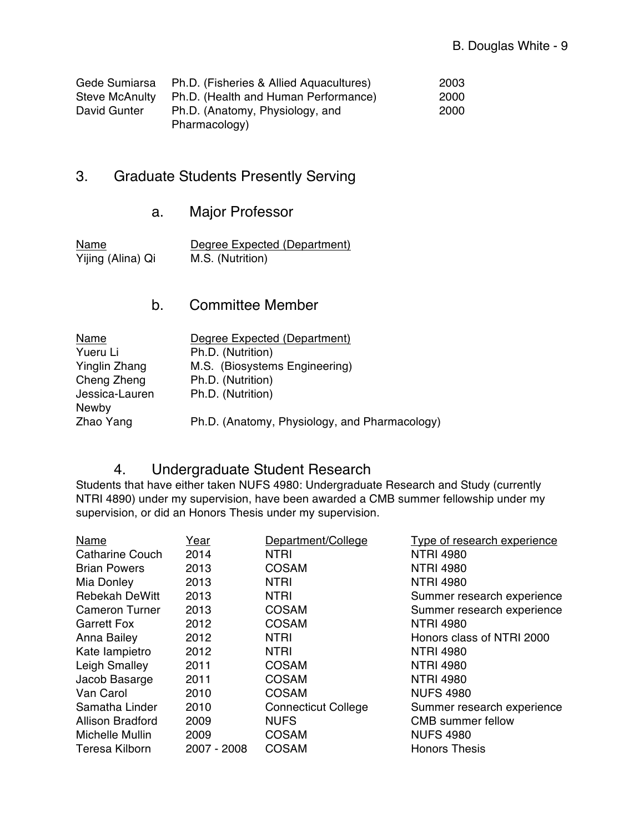| Gede Sumiarsa         | Ph.D. (Fisheries & Allied Aquacultures) | 2003 |
|-----------------------|-----------------------------------------|------|
| <b>Steve McAnulty</b> | Ph.D. (Health and Human Performance)    | 2000 |
| David Gunter          | Ph.D. (Anatomy, Physiology, and         | 2000 |
|                       | Pharmacology)                           |      |

# 3. Graduate Students Presently Serving

# a. Major Professor

Yijing (Alina) Qi

Name Degree Expected (Department)<br>
Yijing (Alina) Qi M.S. (Nutrition)

## b. Committee Member

| Name           | Degree Expected (Department)                  |
|----------------|-----------------------------------------------|
| Yueru Li       | Ph.D. (Nutrition)                             |
| Yinglin Zhang  | M.S. (Biosystems Engineering)                 |
| Cheng Zheng    | Ph.D. (Nutrition)                             |
| Jessica-Lauren | Ph.D. (Nutrition)                             |
| Newby          |                                               |
| Zhao Yang      | Ph.D. (Anatomy, Physiology, and Pharmacology) |
|                |                                               |

#### 4. Undergraduate Student Research

Students that have either taken NUFS 4980: Undergraduate Research and Study (currently NTRI 4890) under my supervision, have been awarded a CMB summer fellowship under my supervision, or did an Honors Thesis under my supervision.

| Name                  | Year        | Department/College         | Type of research experience |
|-----------------------|-------------|----------------------------|-----------------------------|
| Catharine Couch       | 2014        | <b>NTRI</b>                | <b>NTRI 4980</b>            |
| <b>Brian Powers</b>   | 2013        | <b>COSAM</b>               | <b>NTRI 4980</b>            |
| Mia Donley            | 2013        | <b>NTRI</b>                | <b>NTRI 4980</b>            |
| <b>Rebekah DeWitt</b> | 2013        | <b>NTRI</b>                | Summer research experience  |
| <b>Cameron Turner</b> | 2013        | <b>COSAM</b>               | Summer research experience  |
| <b>Garrett Fox</b>    | 2012        | <b>COSAM</b>               | <b>NTRI 4980</b>            |
| Anna Bailey           | 2012        | <b>NTRI</b>                | Honors class of NTRI 2000   |
| Kate lampietro        | 2012        | <b>NTRI</b>                | <b>NTRI 4980</b>            |
| Leigh Smalley         | 2011        | <b>COSAM</b>               | <b>NTRI 4980</b>            |
| Jacob Basarge         | 2011        | <b>COSAM</b>               | <b>NTRI 4980</b>            |
| Van Carol             | 2010        | <b>COSAM</b>               | <b>NUFS 4980</b>            |
| Samatha Linder        | 2010        | <b>Connecticut College</b> | Summer research experience  |
| Allison Bradford      | 2009        | <b>NUFS</b>                | <b>CMB</b> summer fellow    |
| Michelle Mullin       | 2009        | <b>COSAM</b>               | <b>NUFS 4980</b>            |
| Teresa Kilborn        | 2007 - 2008 | <b>COSAM</b>               | <b>Honors Thesis</b>        |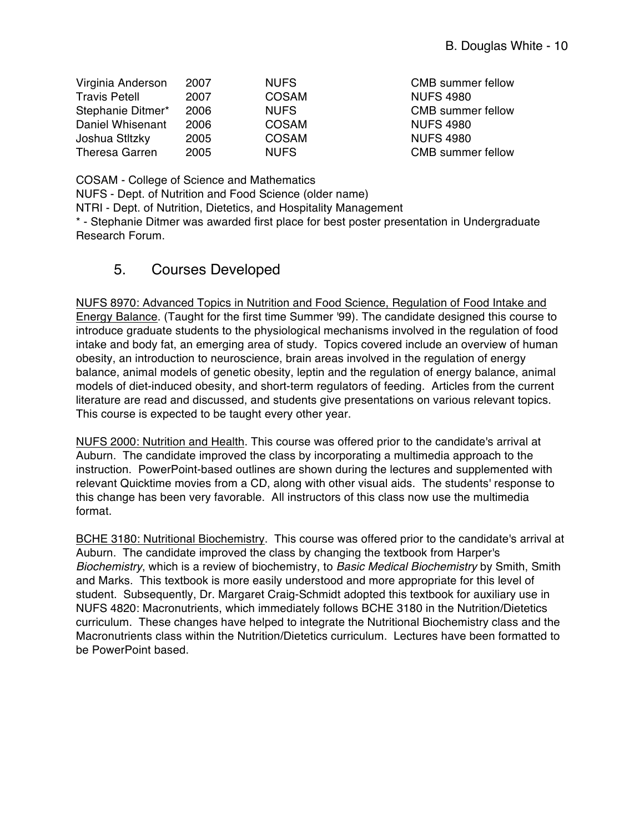| Virginia Anderson     | 2007 | <b>NUFS</b>  |
|-----------------------|------|--------------|
| <b>Travis Petell</b>  | 2007 | <b>COSAM</b> |
| Stephanie Ditmer*     | 2006 | <b>NUFS</b>  |
| Daniel Whisenant      | 2006 | <b>COSAM</b> |
| Joshua Stltzky        | 2005 | <b>COSAM</b> |
| <b>Theresa Garren</b> | 2005 | <b>NUFS</b>  |

CMB summer fellow **NUFS 4980 CMB summer fellow NUFS 4980 NUFS 4980** CMB summer fellow

COSAM - College of Science and Mathematics

NUFS - Dept. of Nutrition and Food Science (older name)

NTRI - Dept. of Nutrition, Dietetics, and Hospitality Management

\* - Stephanie Ditmer was awarded first place for best poster presentation in Undergraduate Research Forum.

## 5. Courses Developed

NUFS 8970: Advanced Topics in Nutrition and Food Science, Regulation of Food Intake and Energy Balance. (Taught for the first time Summer '99). The candidate designed this course to introduce graduate students to the physiological mechanisms involved in the regulation of food intake and body fat, an emerging area of study. Topics covered include an overview of human obesity, an introduction to neuroscience, brain areas involved in the regulation of energy balance, animal models of genetic obesity, leptin and the regulation of energy balance, animal models of diet-induced obesity, and short-term regulators of feeding. Articles from the current literature are read and discussed, and students give presentations on various relevant topics. This course is expected to be taught every other year.

NUFS 2000: Nutrition and Health. This course was offered prior to the candidate's arrival at Auburn. The candidate improved the class by incorporating a multimedia approach to the instruction. PowerPoint-based outlines are shown during the lectures and supplemented with relevant Quicktime movies from a CD, along with other visual aids. The students' response to this change has been very favorable. All instructors of this class now use the multimedia format.

BCHE 3180: Nutritional Biochemistry. This course was offered prior to the candidate's arrival at Auburn. The candidate improved the class by changing the textbook from Harper's *Biochemistry*, which is a review of biochemistry, to *Basic Medical Biochemistry* by Smith, Smith and Marks. This textbook is more easily understood and more appropriate for this level of student. Subsequently, Dr. Margaret Craig-Schmidt adopted this textbook for auxiliary use in NUFS 4820: Macronutrients, which immediately follows BCHE 3180 in the Nutrition/Dietetics curriculum. These changes have helped to integrate the Nutritional Biochemistry class and the Macronutrients class within the Nutrition/Dietetics curriculum. Lectures have been formatted to be PowerPoint based.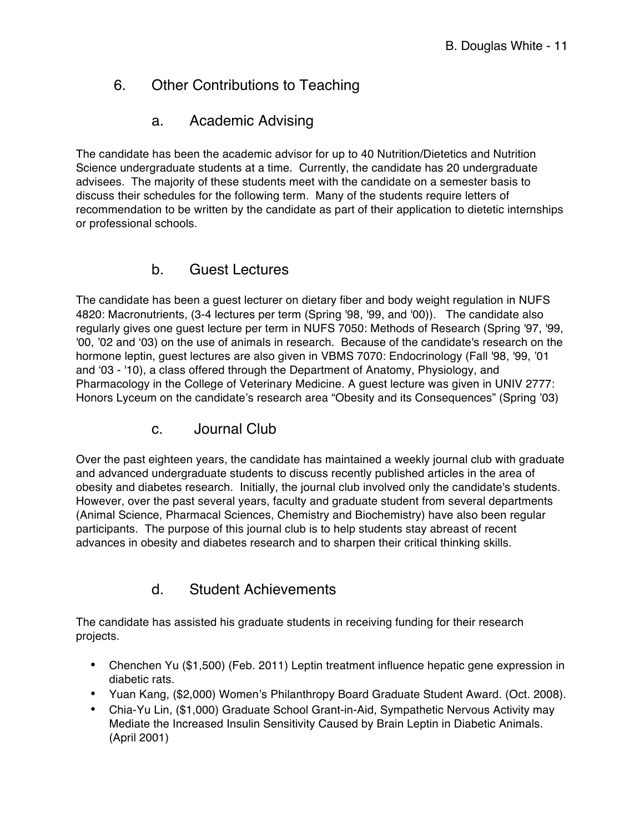# 6. Other Contributions to Teaching

## a. Academic Advising

The candidate has been the academic advisor for up to 40 Nutrition/Dietetics and Nutrition Science undergraduate students at a time. Currently, the candidate has 20 undergraduate advisees. The majority of these students meet with the candidate on a semester basis to discuss their schedules for the following term. Many of the students require letters of recommendation to be written by the candidate as part of their application to dietetic internships or professional schools.

## b. Guest Lectures

The candidate has been a guest lecturer on dietary fiber and body weight regulation in NUFS 4820: Macronutrients, (3-4 lectures per term (Spring '98, '99, and '00)). The candidate also regularly gives one guest lecture per term in NUFS 7050: Methods of Research (Spring '97, '99, '00, '02 and '03) on the use of animals in research. Because of the candidate's research on the hormone leptin, guest lectures are also given in VBMS 7070: Endocrinology (Fall '98, '99, '01 and '03 - '10), a class offered through the Department of Anatomy, Physiology, and Pharmacology in the College of Veterinary Medicine. A guest lecture was given in UNIV 2777: Honors Lyceum on the candidate's research area "Obesity and its Consequences" (Spring '03)

c. Journal Club

Over the past eighteen years, the candidate has maintained a weekly journal club with graduate and advanced undergraduate students to discuss recently published articles in the area of obesity and diabetes research. Initially, the journal club involved only the candidate's students. However, over the past several years, faculty and graduate student from several departments (Animal Science, Pharmacal Sciences, Chemistry and Biochemistry) have also been regular participants. The purpose of this journal club is to help students stay abreast of recent advances in obesity and diabetes research and to sharpen their critical thinking skills.

## d. Student Achievements

The candidate has assisted his graduate students in receiving funding for their research projects.

- Chenchen Yu (\$1,500) (Feb. 2011) Leptin treatment influence hepatic gene expression in diabetic rats.
- Yuan Kang, (\$2,000) Women's Philanthropy Board Graduate Student Award. (Oct. 2008).
- Chia-Yu Lin, (\$1,000) Graduate School Grant-in-Aid, Sympathetic Nervous Activity may Mediate the Increased Insulin Sensitivity Caused by Brain Leptin in Diabetic Animals. (April 2001)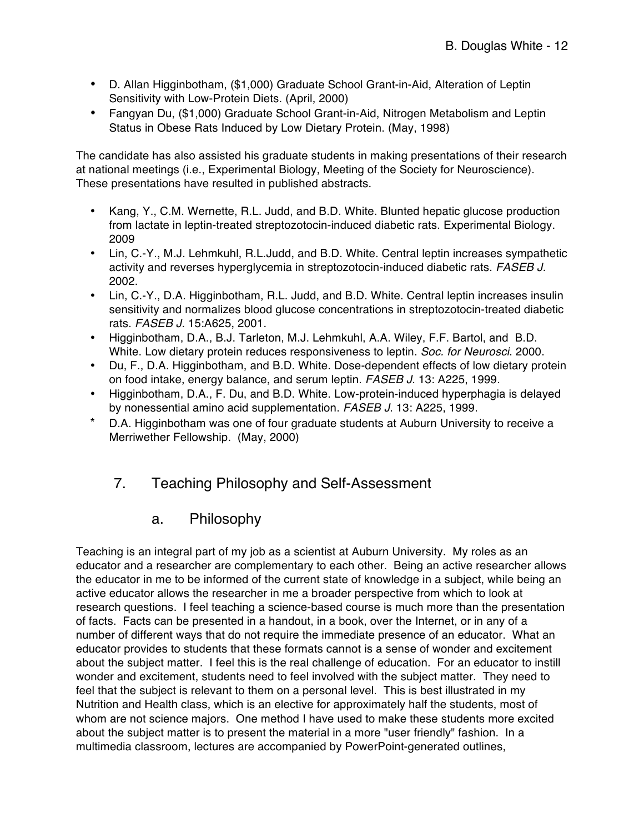- D. Allan Higginbotham, (\$1,000) Graduate School Grant-in-Aid, Alteration of Leptin Sensitivity with Low-Protein Diets. (April, 2000)
- Fangyan Du, (\$1,000) Graduate School Grant-in-Aid, Nitrogen Metabolism and Leptin Status in Obese Rats Induced by Low Dietary Protein. (May, 1998)

The candidate has also assisted his graduate students in making presentations of their research at national meetings (i.e., Experimental Biology, Meeting of the Society for Neuroscience). These presentations have resulted in published abstracts.

- Kang, Y., C.M. Wernette, R.L. Judd, and B.D. White. Blunted hepatic glucose production from lactate in leptin-treated streptozotocin-induced diabetic rats. Experimental Biology. 2009
- Lin, C.-Y., M.J. Lehmkuhl, R.L.Judd, and B.D. White. Central leptin increases sympathetic activity and reverses hyperglycemia in streptozotocin-induced diabetic rats. *FASEB J.* 2002.
- Lin, C.-Y., D.A. Higginbotham, R.L. Judd, and B.D. White. Central leptin increases insulin sensitivity and normalizes blood glucose concentrations in streptozotocin-treated diabetic rats. *FASEB J.* 15:A625, 2001.
- Higginbotham, D.A., B.J. Tarleton, M.J. Lehmkuhl, A.A. Wiley, F.F. Bartol, and B.D. White. Low dietary protein reduces responsiveness to leptin. *Soc. for Neurosci*. 2000.
- Du, F., D.A. Higginbotham, and B.D. White. Dose-dependent effects of low dietary protein on food intake, energy balance, and serum leptin. *FASEB J*. 13: A225, 1999.
- Higginbotham, D.A., F. Du, and B.D. White. Low-protein-induced hyperphagia is delayed by nonessential amino acid supplementation. *FASEB J*. 13: A225, 1999.
- \* D.A. Higginbotham was one of four graduate students at Auburn University to receive a Merriwether Fellowship. (May, 2000)

#### 7. Teaching Philosophy and Self-Assessment

#### a. Philosophy

Teaching is an integral part of my job as a scientist at Auburn University. My roles as an educator and a researcher are complementary to each other. Being an active researcher allows the educator in me to be informed of the current state of knowledge in a subject, while being an active educator allows the researcher in me a broader perspective from which to look at research questions. I feel teaching a science-based course is much more than the presentation of facts. Facts can be presented in a handout, in a book, over the Internet, or in any of a number of different ways that do not require the immediate presence of an educator. What an educator provides to students that these formats cannot is a sense of wonder and excitement about the subject matter. I feel this is the real challenge of education. For an educator to instill wonder and excitement, students need to feel involved with the subject matter. They need to feel that the subject is relevant to them on a personal level. This is best illustrated in my Nutrition and Health class, which is an elective for approximately half the students, most of whom are not science majors. One method I have used to make these students more excited about the subject matter is to present the material in a more "user friendly" fashion. In a multimedia classroom, lectures are accompanied by PowerPoint-generated outlines,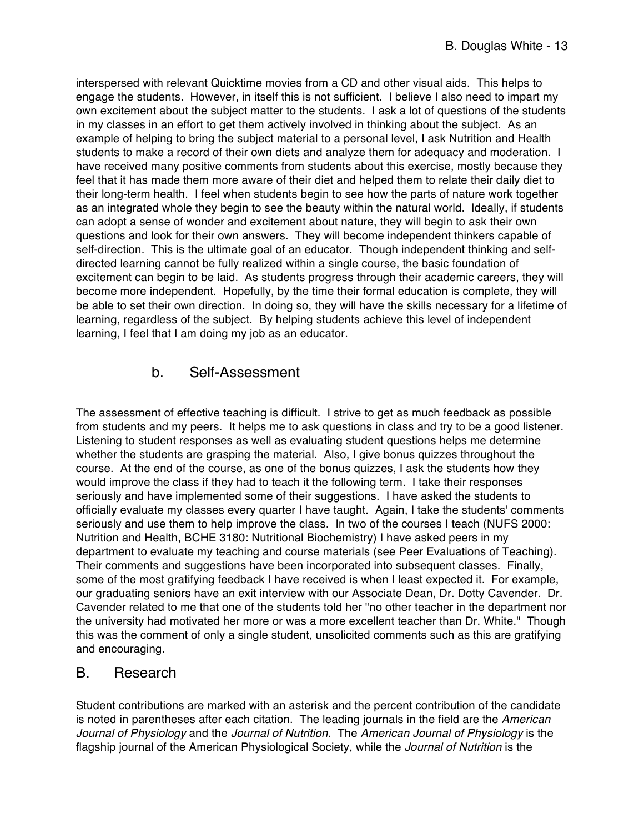interspersed with relevant Quicktime movies from a CD and other visual aids. This helps to engage the students. However, in itself this is not sufficient. I believe I also need to impart my own excitement about the subject matter to the students. I ask a lot of questions of the students in my classes in an effort to get them actively involved in thinking about the subject. As an example of helping to bring the subject material to a personal level, I ask Nutrition and Health students to make a record of their own diets and analyze them for adequacy and moderation. I have received many positive comments from students about this exercise, mostly because they feel that it has made them more aware of their diet and helped them to relate their daily diet to their long-term health. I feel when students begin to see how the parts of nature work together as an integrated whole they begin to see the beauty within the natural world. Ideally, if students can adopt a sense of wonder and excitement about nature, they will begin to ask their own questions and look for their own answers. They will become independent thinkers capable of self-direction. This is the ultimate goal of an educator. Though independent thinking and selfdirected learning cannot be fully realized within a single course, the basic foundation of excitement can begin to be laid. As students progress through their academic careers, they will become more independent. Hopefully, by the time their formal education is complete, they will be able to set their own direction. In doing so, they will have the skills necessary for a lifetime of learning, regardless of the subject. By helping students achieve this level of independent learning, I feel that I am doing my job as an educator.

## b. Self-Assessment

The assessment of effective teaching is difficult. I strive to get as much feedback as possible from students and my peers. It helps me to ask questions in class and try to be a good listener. Listening to student responses as well as evaluating student questions helps me determine whether the students are grasping the material. Also, I give bonus quizzes throughout the course. At the end of the course, as one of the bonus quizzes, I ask the students how they would improve the class if they had to teach it the following term. I take their responses seriously and have implemented some of their suggestions. I have asked the students to officially evaluate my classes every quarter I have taught. Again, I take the students' comments seriously and use them to help improve the class. In two of the courses I teach (NUFS 2000: Nutrition and Health, BCHE 3180: Nutritional Biochemistry) I have asked peers in my department to evaluate my teaching and course materials (see Peer Evaluations of Teaching). Their comments and suggestions have been incorporated into subsequent classes. Finally, some of the most gratifying feedback I have received is when I least expected it. For example, our graduating seniors have an exit interview with our Associate Dean, Dr. Dotty Cavender. Dr. Cavender related to me that one of the students told her "no other teacher in the department nor the university had motivated her more or was a more excellent teacher than Dr. White." Though this was the comment of only a single student, unsolicited comments such as this are gratifying and encouraging.

#### B. Research

Student contributions are marked with an asterisk and the percent contribution of the candidate is noted in parentheses after each citation. The leading journals in the field are the *American Journal of Physiology* and the *Journal of Nutrition*. The *American Journal of Physiology* is the flagship journal of the American Physiological Society, while the *Journal of Nutrition* is the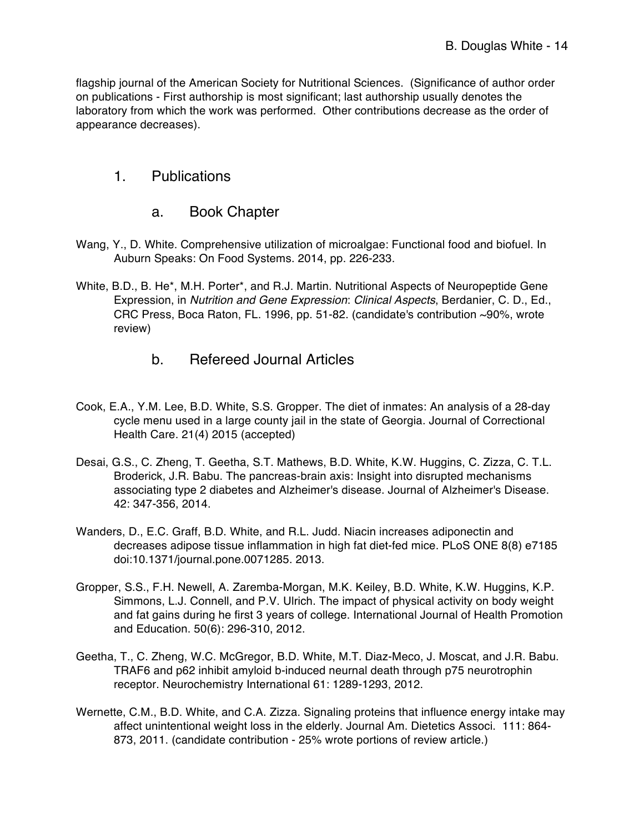flagship journal of the American Society for Nutritional Sciences. (Significance of author order on publications - First authorship is most significant; last authorship usually denotes the laboratory from which the work was performed. Other contributions decrease as the order of appearance decreases).

#### 1. Publications

#### a. Book Chapter

- Wang, Y., D. White. Comprehensive utilization of microalgae: Functional food and biofuel. In Auburn Speaks: On Food Systems. 2014, pp. 226-233.
- White, B.D., B. He\*, M.H. Porter\*, and R.J. Martin. Nutritional Aspects of Neuropeptide Gene Expression, in *Nutrition and Gene Expression*: *Clinical Aspects*, Berdanier, C. D., Ed., CRC Press, Boca Raton, FL. 1996, pp. 51-82. (candidate's contribution ~90%, wrote review)
	- b. Refereed Journal Articles
- Cook, E.A., Y.M. Lee, B.D. White, S.S. Gropper. The diet of inmates: An analysis of a 28-day cycle menu used in a large county jail in the state of Georgia. Journal of Correctional Health Care. 21(4) 2015 (accepted)
- Desai, G.S., C. Zheng, T. Geetha, S.T. Mathews, B.D. White, K.W. Huggins, C. Zizza, C. T.L. Broderick, J.R. Babu. The pancreas-brain axis: Insight into disrupted mechanisms associating type 2 diabetes and Alzheimer's disease. Journal of Alzheimer's Disease. 42: 347-356, 2014.
- Wanders, D., E.C. Graff, B.D. White, and R.L. Judd. Niacin increases adiponectin and decreases adipose tissue inflammation in high fat diet-fed mice. PLoS ONE 8(8) e7185 doi:10.1371/journal.pone.0071285. 2013.
- Gropper, S.S., F.H. Newell, A. Zaremba-Morgan, M.K. Keiley, B.D. White, K.W. Huggins, K.P. Simmons, L.J. Connell, and P.V. Ulrich. The impact of physical activity on body weight and fat gains during he first 3 years of college. International Journal of Health Promotion and Education. 50(6): 296-310, 2012.
- Geetha, T., C. Zheng, W.C. McGregor, B.D. White, M.T. Diaz-Meco, J. Moscat, and J.R. Babu. TRAF6 and p62 inhibit amyloid b-induced neurnal death through p75 neurotrophin receptor. Neurochemistry International 61: 1289-1293, 2012.
- Wernette, C.M., B.D. White, and C.A. Zizza. Signaling proteins that influence energy intake may affect unintentional weight loss in the elderly. Journal Am. Dietetics Associ. 111: 864- 873, 2011. (candidate contribution - 25% wrote portions of review article.)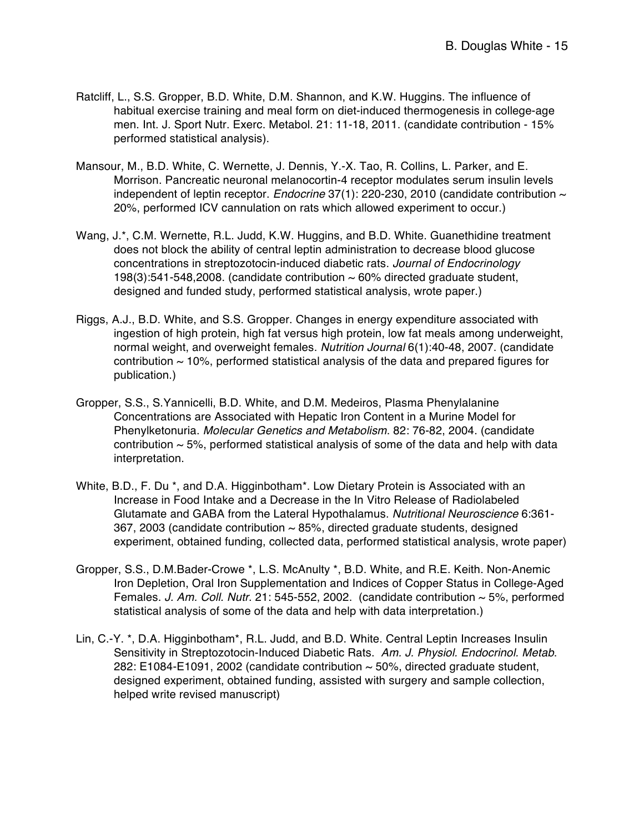- Ratcliff, L., S.S. Gropper, B.D. White, D.M. Shannon, and K.W. Huggins. The influence of habitual exercise training and meal form on diet-induced thermogenesis in college-age men. Int. J. Sport Nutr. Exerc. Metabol. 21: 11-18, 2011. (candidate contribution - 15% performed statistical analysis).
- Mansour, M., B.D. White, C. Wernette, J. Dennis, Y.-X. Tao, R. Collins, L. Parker, and E. Morrison. Pancreatic neuronal melanocortin-4 receptor modulates serum insulin levels independent of leptin receptor. *Endocrine* 37(1): 220-230, 2010 (candidate contribution ~ 20%, performed ICV cannulation on rats which allowed experiment to occur.)
- Wang, J.\*, C.M. Wernette, R.L. Judd, K.W. Huggins, and B.D. White. Guanethidine treatment does not block the ability of central leptin administration to decrease blood glucose concentrations in streptozotocin-induced diabetic rats. *Journal of Endocrinology* 198(3):541-548,2008. (candidate contribution  $\sim$  60% directed graduate student, designed and funded study, performed statistical analysis, wrote paper.)
- Riggs, A.J., B.D. White, and S.S. Gropper. Changes in energy expenditure associated with ingestion of high protein, high fat versus high protein, low fat meals among underweight, normal weight, and overweight females. *Nutrition Journal* 6(1):40-48, 2007. (candidate contribution  $\sim$  10%, performed statistical analysis of the data and prepared figures for publication.)
- Gropper, S.S., S.Yannicelli, B.D. White, and D.M. Medeiros, Plasma Phenylalanine Concentrations are Associated with Hepatic Iron Content in a Murine Model for Phenylketonuria. *Molecular Genetics and Metabolism*. 82: 76-82, 2004. (candidate contribution  $\sim$  5%, performed statistical analysis of some of the data and help with data interpretation.
- White, B.D., F. Du \*, and D.A. Higginbotham\*. Low Dietary Protein is Associated with an Increase in Food Intake and a Decrease in the In Vitro Release of Radiolabeled Glutamate and GABA from the Lateral Hypothalamus. *Nutritional Neuroscience* 6:361- 367, 2003 (candidate contribution ~ 85%, directed graduate students, designed experiment, obtained funding, collected data, performed statistical analysis, wrote paper)
- Gropper, S.S., D.M.Bader-Crowe \*, L.S. McAnulty \*, B.D. White, and R.E. Keith. Non-Anemic Iron Depletion, Oral Iron Supplementation and Indices of Copper Status in College-Aged Females. *J. Am. Coll. Nutr*. 21: 545-552, 2002. (candidate contribution ~ 5%, performed statistical analysis of some of the data and help with data interpretation.)
- Lin, C.-Y. \*, D.A. Higginbotham\*, R.L. Judd, and B.D. White. Central Leptin Increases Insulin Sensitivity in Streptozotocin-Induced Diabetic Rats. *Am. J. Physiol. Endocrinol. Metab*. 282:  $E1084-E1091$ , 2002 (candidate contribution  $\sim$  50%, directed graduate student, designed experiment, obtained funding, assisted with surgery and sample collection, helped write revised manuscript)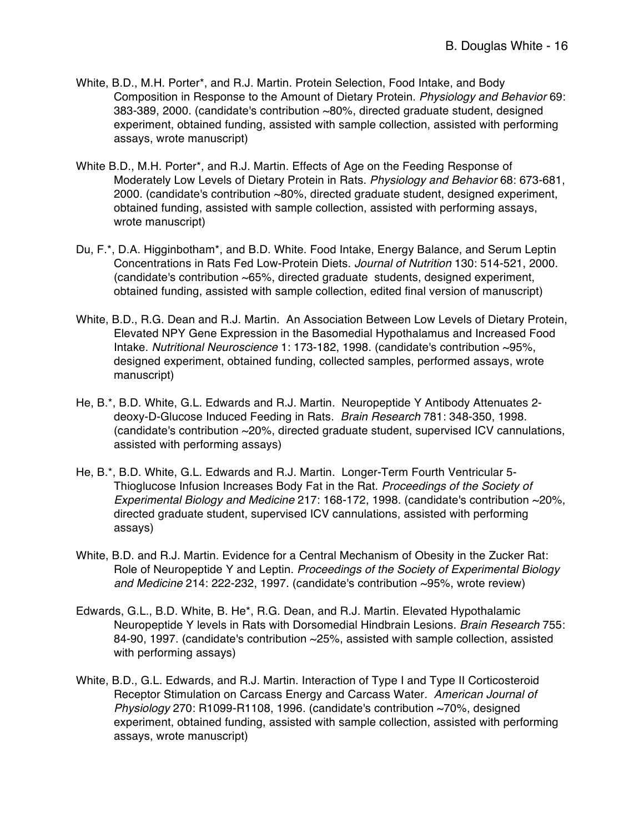- White, B.D., M.H. Porter\*, and R.J. Martin. Protein Selection, Food Intake, and Body Composition in Response to the Amount of Dietary Protein. *Physiology and Behavior* 69: 383-389, 2000. (candidate's contribution ~80%, directed graduate student, designed experiment, obtained funding, assisted with sample collection, assisted with performing assays, wrote manuscript)
- White B.D., M.H. Porter\*, and R.J. Martin. Effects of Age on the Feeding Response of Moderately Low Levels of Dietary Protein in Rats. *Physiology and Behavior* 68: 673-681, 2000. (candidate's contribution ~80%, directed graduate student, designed experiment, obtained funding, assisted with sample collection, assisted with performing assays, wrote manuscript)
- Du, F.\*, D.A. Higginbotham\*, and B.D. White. Food Intake, Energy Balance, and Serum Leptin Concentrations in Rats Fed Low-Protein Diets. *Journal of Nutrition* 130: 514-521, 2000. (candidate's contribution ~65%, directed graduate students, designed experiment, obtained funding, assisted with sample collection, edited final version of manuscript)
- White, B.D., R.G. Dean and R.J. Martin. An Association Between Low Levels of Dietary Protein, Elevated NPY Gene Expression in the Basomedial Hypothalamus and Increased Food Intake. *Nutritional Neuroscience* 1: 173-182, 1998. (candidate's contribution ~95%, designed experiment, obtained funding, collected samples, performed assays, wrote manuscript)
- He, B.\*, B.D. White, G.L. Edwards and R.J. Martin. Neuropeptide Y Antibody Attenuates 2 deoxy-D-Glucose Induced Feeding in Rats. *Brain Research* 781: 348-350, 1998. (candidate's contribution ~20%, directed graduate student, supervised ICV cannulations, assisted with performing assays)
- He, B.\*, B.D. White, G.L. Edwards and R.J. Martin. Longer-Term Fourth Ventricular 5- Thioglucose Infusion Increases Body Fat in the Rat. *Proceedings of the Society of Experimental Biology and Medicine* 217: 168-172, 1998. (candidate's contribution ~20%, directed graduate student, supervised ICV cannulations, assisted with performing assays)
- White, B.D. and R.J. Martin. Evidence for a Central Mechanism of Obesity in the Zucker Rat: Role of Neuropeptide Y and Leptin. *Proceedings of the Society of Experimental Biology and Medicine* 214: 222-232, 1997. (candidate's contribution ~95%, wrote review)
- Edwards, G.L., B.D. White, B. He\*, R.G. Dean, and R.J. Martin. Elevated Hypothalamic Neuropeptide Y levels in Rats with Dorsomedial Hindbrain Lesions. *Brain Research* 755: 84-90, 1997. (candidate's contribution ~25%, assisted with sample collection, assisted with performing assays)
- White, B.D., G.L. Edwards, and R.J. Martin. Interaction of Type I and Type II Corticosteroid Receptor Stimulation on Carcass Energy and Carcass Water*. American Journal of Physiology* 270: R1099-R1108, 1996. (candidate's contribution ~70%, designed experiment, obtained funding, assisted with sample collection, assisted with performing assays, wrote manuscript)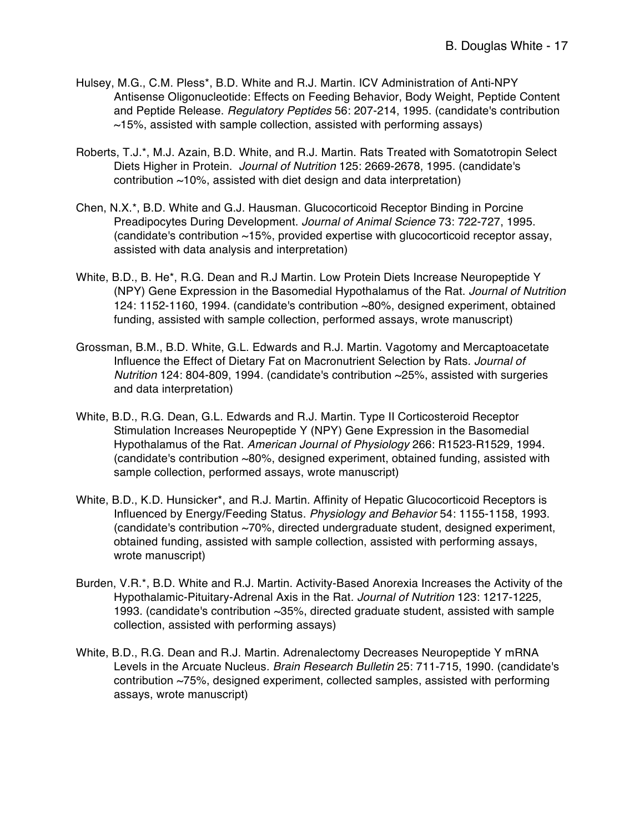- Hulsey, M.G., C.M. Pless\*, B.D. White and R.J. Martin. ICV Administration of Anti-NPY Antisense Oligonucleotide: Effects on Feeding Behavior, Body Weight, Peptide Content and Peptide Release. *Regulatory Peptides* 56: 207-214, 1995. (candidate's contribution  $\sim$ 15%, assisted with sample collection, assisted with performing assays)
- Roberts, T.J.\*, M.J. Azain, B.D. White, and R.J. Martin. Rats Treated with Somatotropin Select Diets Higher in Protein. *Journal of Nutrition* 125: 2669-2678, 1995. (candidate's contribution ~10%, assisted with diet design and data interpretation)
- Chen, N.X.\*, B.D. White and G.J. Hausman. Glucocorticoid Receptor Binding in Porcine Preadipocytes During Development. *Journal of Animal Science* 73: 722-727, 1995. (candidate's contribution ~15%, provided expertise with glucocorticoid receptor assay, assisted with data analysis and interpretation)
- White, B.D., B. He\*, R.G. Dean and R.J Martin. Low Protein Diets Increase Neuropeptide Y (NPY) Gene Expression in the Basomedial Hypothalamus of the Rat. *Journal of Nutrition* 124: 1152-1160, 1994. (candidate's contribution ~80%, designed experiment, obtained funding, assisted with sample collection, performed assays, wrote manuscript)
- Grossman, B.M., B.D. White, G.L. Edwards and R.J. Martin. Vagotomy and Mercaptoacetate Influence the Effect of Dietary Fat on Macronutrient Selection by Rats*. Journal of Nutrition* 124: 804-809, 1994. (candidate's contribution ~25%, assisted with surgeries and data interpretation)
- White, B.D., R.G. Dean, G.L. Edwards and R.J. Martin. Type II Corticosteroid Receptor Stimulation Increases Neuropeptide Y (NPY) Gene Expression in the Basomedial Hypothalamus of the Rat. *American Journal of Physiology* 266: R1523-R1529, 1994. (candidate's contribution ~80%, designed experiment, obtained funding, assisted with sample collection, performed assays, wrote manuscript)
- White, B.D., K.D. Hunsicker\*, and R.J. Martin. Affinity of Hepatic Glucocorticoid Receptors is Influenced by Energy/Feeding Status. *Physiology and Behavior* 54: 1155-1158, 1993. (candidate's contribution ~70%, directed undergraduate student, designed experiment, obtained funding, assisted with sample collection, assisted with performing assays, wrote manuscript)
- Burden, V.R.\*, B.D. White and R.J. Martin. Activity-Based Anorexia Increases the Activity of the Hypothalamic-Pituitary-Adrenal Axis in the Rat*. Journal of Nutrition* 123: 1217-1225, 1993. (candidate's contribution ~35%, directed graduate student, assisted with sample collection, assisted with performing assays)
- White, B.D., R.G. Dean and R.J. Martin. Adrenalectomy Decreases Neuropeptide Y mRNA Levels in the Arcuate Nucleus*. Brain Research Bulletin* 25: 711-715, 1990. (candidate's contribution ~75%, designed experiment, collected samples, assisted with performing assays, wrote manuscript)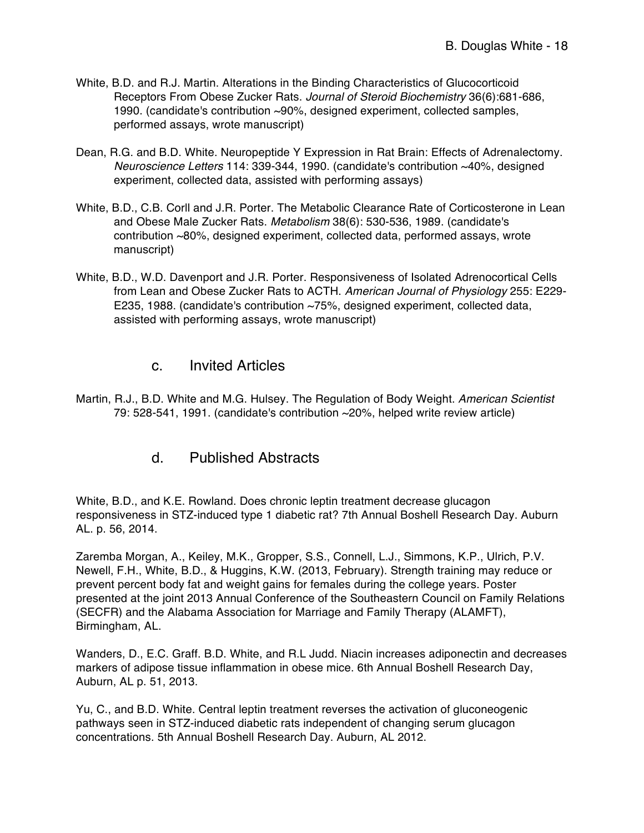- White, B.D. and R.J. Martin. Alterations in the Binding Characteristics of Glucocorticoid Receptors From Obese Zucker Rats. *Journal of Steroid Biochemistry* 36(6):681-686, 1990. (candidate's contribution ~90%, designed experiment, collected samples, performed assays, wrote manuscript)
- Dean, R.G. and B.D. White. Neuropeptide Y Expression in Rat Brain: Effects of Adrenalectomy. *Neuroscience Letters* 114: 339-344, 1990. (candidate's contribution ~40%, designed experiment, collected data, assisted with performing assays)
- White, B.D., C.B. Corll and J.R. Porter. The Metabolic Clearance Rate of Corticosterone in Lean and Obese Male Zucker Rats. *Metabolism* 38(6): 530-536, 1989. (candidate's contribution ~80%, designed experiment, collected data, performed assays, wrote manuscript)
- White, B.D., W.D. Davenport and J.R. Porter. Responsiveness of Isolated Adrenocortical Cells from Lean and Obese Zucker Rats to ACTH. *American Journal of Physiology* 255: E229- E235, 1988. (candidate's contribution ~75%, designed experiment, collected data, assisted with performing assays, wrote manuscript)

#### c. Invited Articles

Martin, R.J., B.D. White and M.G. Hulsey. The Regulation of Body Weight. *American Scientist* 79: 528-541, 1991. (candidate's contribution ~20%, helped write review article)

#### d. Published Abstracts

White, B.D., and K.E. Rowland. Does chronic leptin treatment decrease glucagon responsiveness in STZ-induced type 1 diabetic rat? 7th Annual Boshell Research Day. Auburn AL. p. 56, 2014.

Zaremba Morgan, A., Keiley, M.K., Gropper, S.S., Connell, L.J., Simmons, K.P., Ulrich, P.V. Newell, F.H., White, B.D., & Huggins, K.W. (2013, February). Strength training may reduce or prevent percent body fat and weight gains for females during the college years. Poster presented at the joint 2013 Annual Conference of the Southeastern Council on Family Relations (SECFR) and the Alabama Association for Marriage and Family Therapy (ALAMFT), Birmingham, AL.

Wanders, D., E.C. Graff. B.D. White, and R.L Judd. Niacin increases adiponectin and decreases markers of adipose tissue inflammation in obese mice. 6th Annual Boshell Research Day, Auburn, AL p. 51, 2013.

Yu, C., and B.D. White. Central leptin treatment reverses the activation of gluconeogenic pathways seen in STZ-induced diabetic rats independent of changing serum glucagon concentrations. 5th Annual Boshell Research Day. Auburn, AL 2012.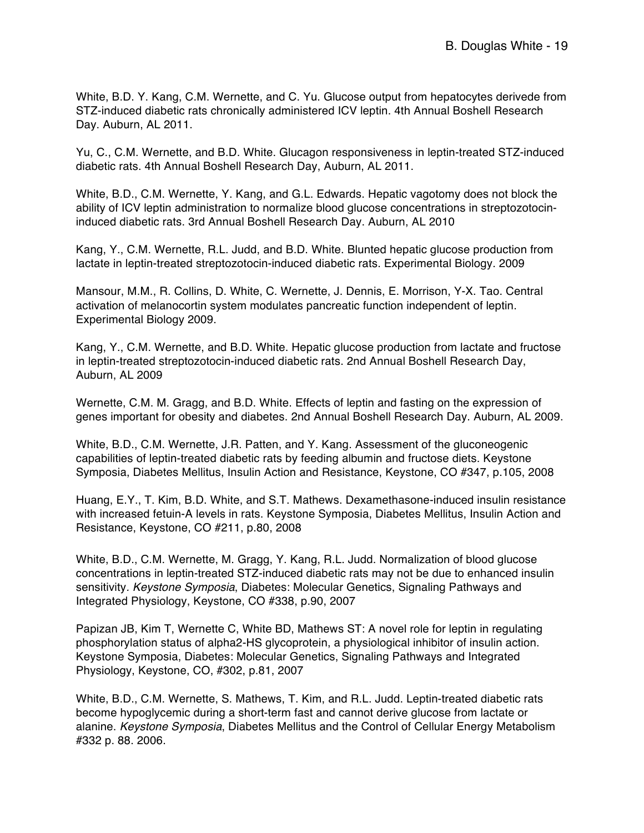White, B.D. Y. Kang, C.M. Wernette, and C. Yu. Glucose output from hepatocytes derivede from STZ-induced diabetic rats chronically administered ICV leptin. 4th Annual Boshell Research Day. Auburn, AL 2011.

Yu, C., C.M. Wernette, and B.D. White. Glucagon responsiveness in leptin-treated STZ-induced diabetic rats. 4th Annual Boshell Research Day, Auburn, AL 2011.

White, B.D., C.M. Wernette, Y. Kang, and G.L. Edwards. Hepatic vagotomy does not block the ability of ICV leptin administration to normalize blood glucose concentrations in streptozotocininduced diabetic rats. 3rd Annual Boshell Research Day. Auburn, AL 2010

Kang, Y., C.M. Wernette, R.L. Judd, and B.D. White. Blunted hepatic glucose production from lactate in leptin-treated streptozotocin-induced diabetic rats. Experimental Biology. 2009

Mansour, M.M., R. Collins, D. White, C. Wernette, J. Dennis, E. Morrison, Y-X. Tao. Central activation of melanocortin system modulates pancreatic function independent of leptin. Experimental Biology 2009.

Kang, Y., C.M. Wernette, and B.D. White. Hepatic glucose production from lactate and fructose in leptin-treated streptozotocin-induced diabetic rats. 2nd Annual Boshell Research Day, Auburn, AL 2009

Wernette, C.M. M. Gragg, and B.D. White. Effects of leptin and fasting on the expression of genes important for obesity and diabetes. 2nd Annual Boshell Research Day. Auburn, AL 2009.

White, B.D., C.M. Wernette, J.R. Patten, and Y. Kang. Assessment of the gluconeogenic capabilities of leptin-treated diabetic rats by feeding albumin and fructose diets. Keystone Symposia, Diabetes Mellitus, Insulin Action and Resistance, Keystone, CO #347, p.105, 2008

Huang, E.Y., T. Kim, B.D. White, and S.T. Mathews. Dexamethasone-induced insulin resistance with increased fetuin-A levels in rats. Keystone Symposia, Diabetes Mellitus, Insulin Action and Resistance, Keystone, CO #211, p.80, 2008

White, B.D., C.M. Wernette, M. Gragg, Y. Kang, R.L. Judd. Normalization of blood glucose concentrations in leptin-treated STZ-induced diabetic rats may not be due to enhanced insulin sensitivity*. Keystone Symposia*, Diabetes: Molecular Genetics, Signaling Pathways and Integrated Physiology, Keystone, CO #338, p.90, 2007

Papizan JB, Kim T, Wernette C, White BD, Mathews ST: A novel role for leptin in regulating phosphorylation status of alpha2-HS glycoprotein, a physiological inhibitor of insulin action. Keystone Symposia, Diabetes: Molecular Genetics, Signaling Pathways and Integrated Physiology, Keystone, CO, #302, p.81, 2007

White, B.D., C.M. Wernette, S. Mathews, T. Kim, and R.L. Judd. Leptin-treated diabetic rats become hypoglycemic during a short-term fast and cannot derive glucose from lactate or alanine. *Keystone Symposia*, Diabetes Mellitus and the Control of Cellular Energy Metabolism #332 p. 88. 2006.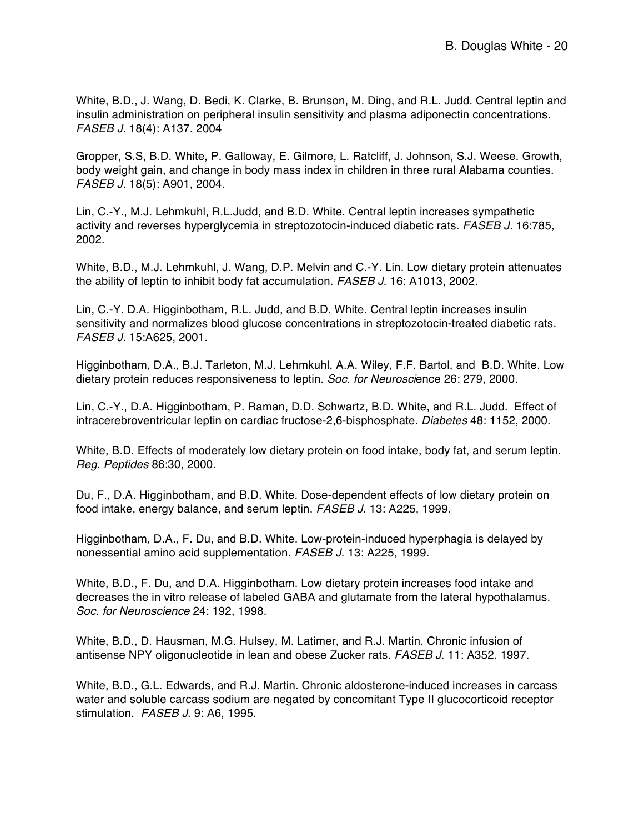White, B.D., J. Wang, D. Bedi, K. Clarke, B. Brunson, M. Ding, and R.L. Judd. Central leptin and insulin administration on peripheral insulin sensitivity and plasma adiponectin concentrations. *FASEB J*. 18(4): A137. 2004

Gropper, S.S, B.D. White, P. Galloway, E. Gilmore, L. Ratcliff, J. Johnson, S.J. Weese. Growth, body weight gain, and change in body mass index in children in three rural Alabama counties. *FASEB J.* 18(5): A901, 2004.

Lin, C.-Y., M.J. Lehmkuhl, R.L.Judd, and B.D. White. Central leptin increases sympathetic activity and reverses hyperglycemia in streptozotocin-induced diabetic rats. *FASEB J.* 16:785, 2002.

White, B.D., M.J. Lehmkuhl, J. Wang, D.P. Melvin and C.-Y. Lin. Low dietary protein attenuates the ability of leptin to inhibit body fat accumulation. *FASEB J*. 16: A1013, 2002.

Lin, C.-Y. D.A. Higginbotham, R.L. Judd, and B.D. White. Central leptin increases insulin sensitivity and normalizes blood glucose concentrations in streptozotocin-treated diabetic rats. *FASEB J*. 15:A625, 2001.

Higginbotham, D.A., B.J. Tarleton, M.J. Lehmkuhl, A.A. Wiley, F.F. Bartol, and B.D. White. Low dietary protein reduces responsiveness to leptin. *Soc. for Neurosci*ence 26: 279, 2000.

Lin, C.-Y., D.A. Higginbotham, P. Raman, D.D. Schwartz, B.D. White, and R.L. Judd. Effect of intracerebroventricular leptin on cardiac fructose-2,6-bisphosphate. *Diabetes* 48: 1152, 2000.

White, B.D. Effects of moderately low dietary protein on food intake, body fat, and serum leptin. *Reg. Peptides* 86:30, 2000.

Du, F., D.A. Higginbotham, and B.D. White. Dose-dependent effects of low dietary protein on food intake, energy balance, and serum leptin. *FASEB J*. 13: A225, 1999.

Higginbotham, D.A., F. Du, and B.D. White. Low-protein-induced hyperphagia is delayed by nonessential amino acid supplementation. *FASEB J*. 13: A225, 1999.

White, B.D., F. Du, and D.A. Higginbotham. Low dietary protein increases food intake and decreases the in vitro release of labeled GABA and glutamate from the lateral hypothalamus. *Soc. for Neuroscience* 24: 192, 1998.

White, B.D., D. Hausman, M.G. Hulsey, M. Latimer, and R.J. Martin. Chronic infusion of antisense NPY oligonucleotide in lean and obese Zucker rats. *FASEB J*. 11: A352. 1997.

White, B.D., G.L. Edwards, and R.J. Martin. Chronic aldosterone-induced increases in carcass water and soluble carcass sodium are negated by concomitant Type II glucocorticoid receptor stimulation. *FASEB J*. 9: A6, 1995.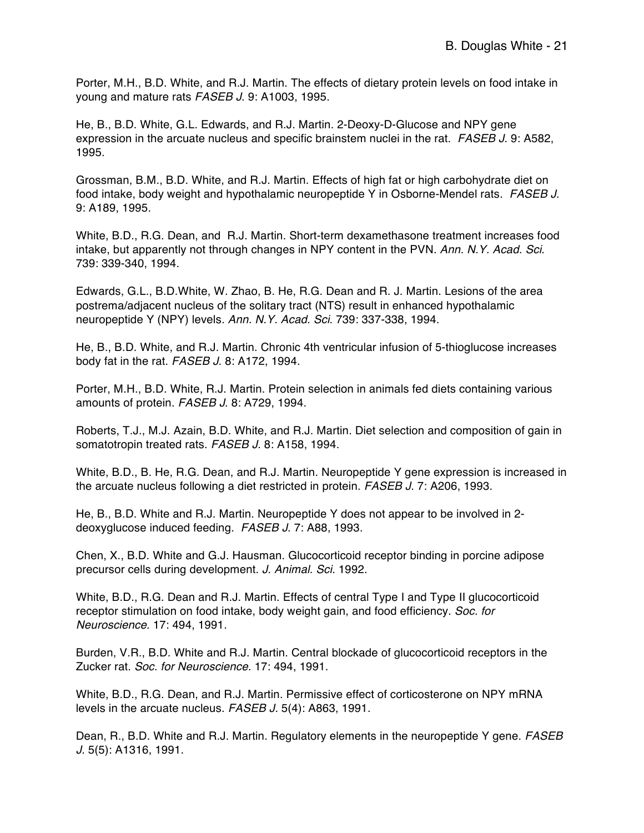Porter, M.H., B.D. White, and R.J. Martin. The effects of dietary protein levels on food intake in young and mature rats *FASEB J*. 9: A1003, 1995.

He, B., B.D. White, G.L. Edwards, and R.J. Martin. 2-Deoxy-D-Glucose and NPY gene expression in the arcuate nucleus and specific brainstem nuclei in the rat. *FASEB J*. 9: A582, 1995.

Grossman, B.M., B.D. White, and R.J. Martin. Effects of high fat or high carbohydrate diet on food intake, body weight and hypothalamic neuropeptide Y in Osborne-Mendel rats. *FASEB J*. 9: A189, 1995.

White, B.D., R.G. Dean, and R.J. Martin. Short-term dexamethasone treatment increases food intake, but apparently not through changes in NPY content in the PVN. *Ann. N.Y. Acad. Sci*. 739: 339-340, 1994.

Edwards, G.L., B.D.White, W. Zhao, B. He, R.G. Dean and R. J. Martin. Lesions of the area postrema/adjacent nucleus of the solitary tract (NTS) result in enhanced hypothalamic neuropeptide Y (NPY) levels*. Ann. N.Y. Acad. Sci*. 739: 337-338, 1994.

He, B., B.D. White, and R.J. Martin. Chronic 4th ventricular infusion of 5-thioglucose increases body fat in the rat. *FASEB J*. 8: A172, 1994.

Porter, M.H., B.D. White, R.J. Martin. Protein selection in animals fed diets containing various amounts of protein. *FASEB J*. 8: A729, 1994.

Roberts, T.J., M.J. Azain, B.D. White, and R.J. Martin. Diet selection and composition of gain in somatotropin treated rats. *FASEB J*. 8: A158, 1994.

White, B.D., B. He, R.G. Dean, and R.J. Martin. Neuropeptide Y gene expression is increased in the arcuate nucleus following a diet restricted in protein. *FASEB J*. 7: A206, 1993.

He, B., B.D. White and R.J. Martin. Neuropeptide Y does not appear to be involved in 2 deoxyglucose induced feeding. *FASEB J*. 7: A88, 1993.

Chen, X., B.D. White and G.J. Hausman. Glucocorticoid receptor binding in porcine adipose precursor cells during development. *J. Animal. Sci*. 1992.

White, B.D., R.G. Dean and R.J. Martin. Effects of central Type I and Type II glucocorticoid receptor stimulation on food intake, body weight gain, and food efficiency. *Soc. for Neuroscience*. 17: 494, 1991.

Burden, V.R., B.D. White and R.J. Martin. Central blockade of glucocorticoid receptors in the Zucker rat. *Soc. for Neuroscience.* 17: 494, 1991.

White, B.D., R.G. Dean, and R.J. Martin. Permissive effect of corticosterone on NPY mRNA levels in the arcuate nucleus. *FASEB J.* 5(4): A863, 1991.

Dean, R., B.D. White and R.J. Martin. Regulatory elements in the neuropeptide Y gene. *FASEB J*. 5(5): A1316, 1991.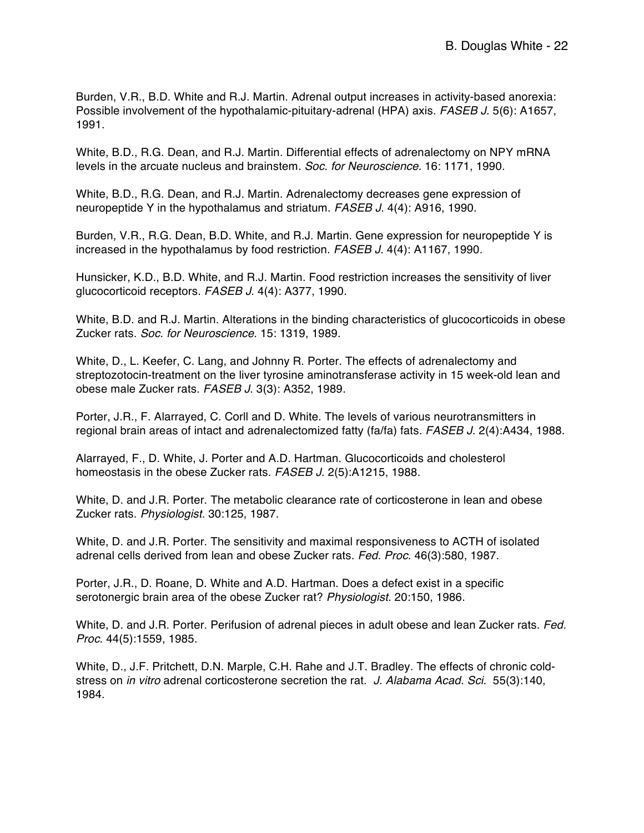Burden, V.R., B.D. White and R.J. Martin. Adrenal output increases in activity-based anorexia: Possible involvement of the hypothalamic-pituitary-adrenal (HPA) axis. *FASEB J*. 5(6): A1657, 1991.

White, B.D., R.G. Dean, and R.J. Martin. Differential effects of adrenalectomy on NPY mRNA levels in the arcuate nucleus and brainstem*. Soc. for Neuroscience.* 16: 1171, 1990.

White, B.D., R.G. Dean, and R.J. Martin. Adrenalectomy decreases gene expression of neuropeptide Y in the hypothalamus and striatum. *FASEB J*. 4(4): A916, 1990.

Burden, V.R., R.G. Dean, B.D. White, and R.J. Martin. Gene expression for neuropeptide Y is increased in the hypothalamus by food restriction. *FASEB J*. 4(4): A1167, 1990.

Hunsicker, K.D., B.D. White, and R.J. Martin. Food restriction increases the sensitivity of liver glucocorticoid receptors. *FASEB J*. 4(4): A377, 1990.

White, B.D. and R.J. Martin. Alterations in the binding characteristics of glucocorticoids in obese Zucker rats. *Soc. for Neuroscience*. 15: 1319, 1989.

White, D., L. Keefer, C. Lang, and Johnny R. Porter. The effects of adrenalectomy and streptozotocin-treatment on the liver tyrosine aminotransferase activity in 15 week-old lean and obese male Zucker rats. *FASEB J*. 3(3): A352, 1989.

Porter, J.R., F. Alarrayed, C. Corll and D. White. The levels of various neurotransmitters in regional brain areas of intact and adrenalectomized fatty (fa/fa) fats. *FASEB J*. 2(4):A434, 1988.

Alarrayed, F., D. White, J. Porter and A.D. Hartman. Glucocorticoids and cholesterol homeostasis in the obese Zucker rats. *FASEB J*. 2(5):A1215, 1988.

White, D. and J.R. Porter. The metabolic clearance rate of corticosterone in lean and obese Zucker rats. *Physiologist.* 30:125, 1987.

White, D. and J.R. Porter. The sensitivity and maximal responsiveness to ACTH of isolated adrenal cells derived from lean and obese Zucker rats. *Fed. Proc*. 46(3):580, 1987.

Porter, J.R., D. Roane, D. White and A.D. Hartman. Does a defect exist in a specific serotonergic brain area of the obese Zucker rat? *Physiologist.* 20:150, 1986.

White, D. and J.R. Porter. Perifusion of adrenal pieces in adult obese and lean Zucker rats. *Fed. Proc*. 44(5):1559, 1985.

White, D., J.F. Pritchett, D.N. Marple, C.H. Rahe and J.T. Bradley. The effects of chronic coldstress on *in vitro* adrenal corticosterone secretion the rat. *J. Alabama Acad. Sci*. 55(3):140, 1984.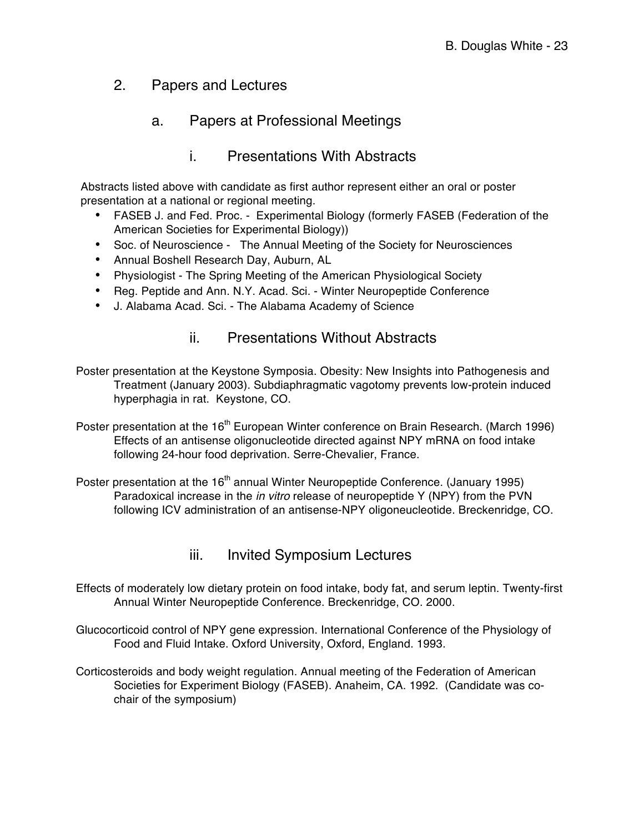## 2. Papers and Lectures

## a. Papers at Professional Meetings

#### i. Presentations With Abstracts

Abstracts listed above with candidate as first author represent either an oral or poster presentation at a national or regional meeting.

- FASEB J. and Fed. Proc. Experimental Biology (formerly FASEB (Federation of the American Societies for Experimental Biology))
- Soc. of Neuroscience The Annual Meeting of the Society for Neurosciences
- Annual Boshell Research Day, Auburn, AL
- Physiologist The Spring Meeting of the American Physiological Society
- Reg. Peptide and Ann. N.Y. Acad. Sci. Winter Neuropeptide Conference
- J. Alabama Acad. Sci. The Alabama Academy of Science

## ii. Presentations Without Abstracts

Poster presentation at the Keystone Symposia. Obesity: New Insights into Pathogenesis and Treatment (January 2003). Subdiaphragmatic vagotomy prevents low-protein induced hyperphagia in rat. Keystone, CO.

Poster presentation at the 16<sup>th</sup> European Winter conference on Brain Research. (March 1996) Effects of an antisense oligonucleotide directed against NPY mRNA on food intake following 24-hour food deprivation. Serre-Chevalier, France.

Poster presentation at the 16<sup>th</sup> annual Winter Neuropeptide Conference. (January 1995) Paradoxical increase in the *in vitro* release of neuropeptide Y (NPY) from the PVN following ICV administration of an antisense-NPY oligoneucleotide. Breckenridge, CO.

#### iii. Invited Symposium Lectures

- Effects of moderately low dietary protein on food intake, body fat, and serum leptin. Twenty-first Annual Winter Neuropeptide Conference. Breckenridge, CO. 2000.
- Glucocorticoid control of NPY gene expression. International Conference of the Physiology of Food and Fluid Intake. Oxford University, Oxford, England. 1993.
- Corticosteroids and body weight regulation. Annual meeting of the Federation of American Societies for Experiment Biology (FASEB). Anaheim, CA. 1992. (Candidate was cochair of the symposium)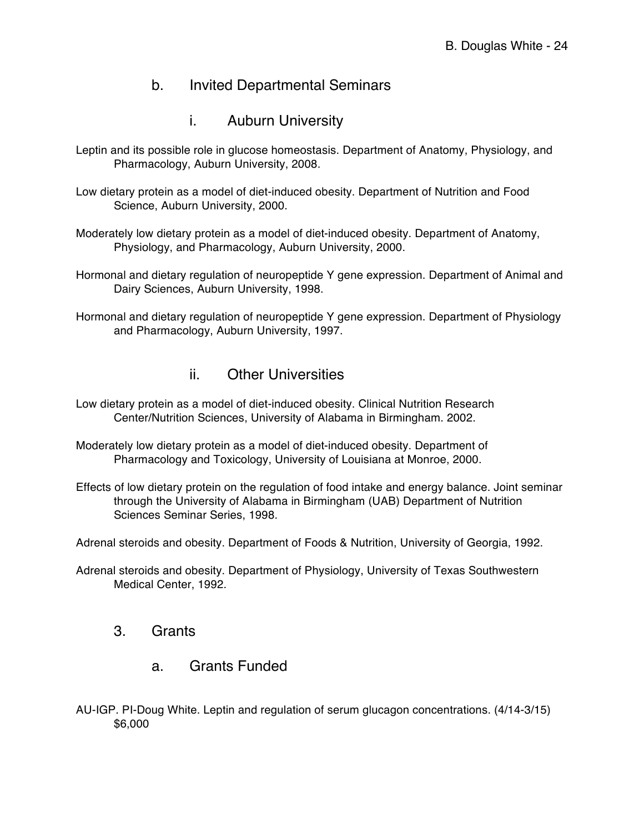#### b. Invited Departmental Seminars

i. Auburn University

Leptin and its possible role in glucose homeostasis. Department of Anatomy, Physiology, and Pharmacology, Auburn University, 2008.

Low dietary protein as a model of diet-induced obesity. Department of Nutrition and Food Science, Auburn University, 2000.

Moderately low dietary protein as a model of diet-induced obesity. Department of Anatomy, Physiology, and Pharmacology, Auburn University, 2000.

Hormonal and dietary regulation of neuropeptide Y gene expression. Department of Animal and Dairy Sciences, Auburn University, 1998.

Hormonal and dietary regulation of neuropeptide Y gene expression. Department of Physiology and Pharmacology, Auburn University, 1997.

#### ii. Other Universities

- Low dietary protein as a model of diet-induced obesity. Clinical Nutrition Research Center/Nutrition Sciences, University of Alabama in Birmingham. 2002.
- Moderately low dietary protein as a model of diet-induced obesity. Department of Pharmacology and Toxicology, University of Louisiana at Monroe, 2000.
- Effects of low dietary protein on the regulation of food intake and energy balance. Joint seminar through the University of Alabama in Birmingham (UAB) Department of Nutrition Sciences Seminar Series, 1998.

Adrenal steroids and obesity. Department of Foods & Nutrition, University of Georgia, 1992.

Adrenal steroids and obesity. Department of Physiology, University of Texas Southwestern Medical Center, 1992.

#### 3. Grants

- a. Grants Funded
- AU-IGP. PI-Doug White. Leptin and regulation of serum glucagon concentrations. (4/14-3/15) \$6,000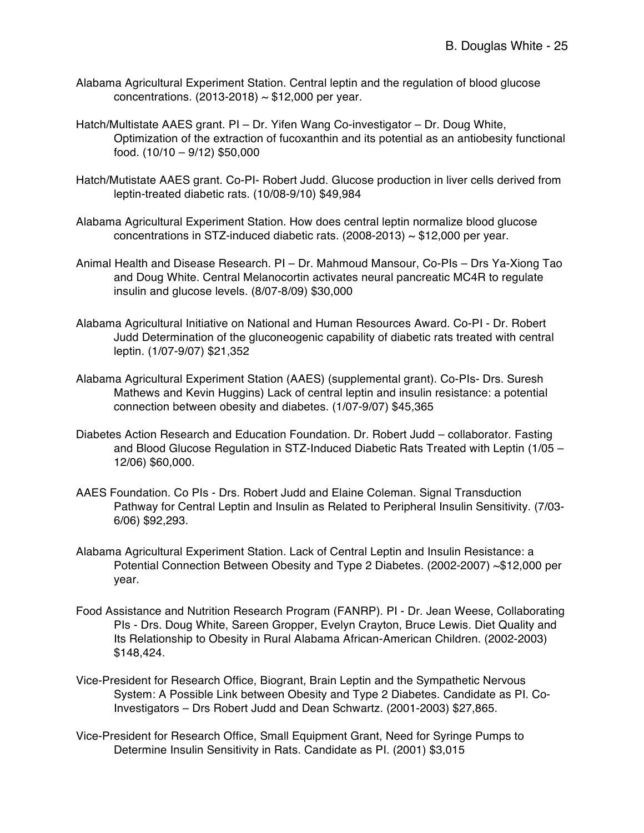- Alabama Agricultural Experiment Station. Central leptin and the regulation of blood glucose concentrations.  $(2013-2018) \sim $12,000$  per year.
- Hatch/Multistate AAES grant. PI Dr. Yifen Wang Co-investigator Dr. Doug White, Optimization of the extraction of fucoxanthin and its potential as an antiobesity functional food. (10/10 – 9/12) \$50,000
- Hatch/Mutistate AAES grant. Co-PI- Robert Judd. Glucose production in liver cells derived from leptin-treated diabetic rats. (10/08-9/10) \$49,984
- Alabama Agricultural Experiment Station. How does central leptin normalize blood glucose concentrations in STZ-induced diabetic rats.  $(2008-2013) \sim $12,000$  per year.
- Animal Health and Disease Research. PI Dr. Mahmoud Mansour, Co-PIs Drs Ya-Xiong Tao and Doug White. Central Melanocortin activates neural pancreatic MC4R to regulate insulin and glucose levels. (8/07-8/09) \$30,000
- Alabama Agricultural Initiative on National and Human Resources Award. Co-PI Dr. Robert Judd Determination of the gluconeogenic capability of diabetic rats treated with central leptin. (1/07-9/07) \$21,352
- Alabama Agricultural Experiment Station (AAES) (supplemental grant). Co-PIs- Drs. Suresh Mathews and Kevin Huggins) Lack of central leptin and insulin resistance: a potential connection between obesity and diabetes. (1/07-9/07) \$45,365
- Diabetes Action Research and Education Foundation. Dr. Robert Judd collaborator. Fasting and Blood Glucose Regulation in STZ-Induced Diabetic Rats Treated with Leptin (1/05 – 12/06) \$60,000.
- AAES Foundation. Co PIs Drs. Robert Judd and Elaine Coleman. Signal Transduction Pathway for Central Leptin and Insulin as Related to Peripheral Insulin Sensitivity. (7/03- 6/06) \$92,293.
- Alabama Agricultural Experiment Station. Lack of Central Leptin and Insulin Resistance: a Potential Connection Between Obesity and Type 2 Diabetes. (2002-2007) ~\$12,000 per year.
- Food Assistance and Nutrition Research Program (FANRP). PI Dr. Jean Weese, Collaborating PIs - Drs. Doug White, Sareen Gropper, Evelyn Crayton, Bruce Lewis. Diet Quality and Its Relationship to Obesity in Rural Alabama African-American Children. (2002-2003) \$148,424.
- Vice-President for Research Office, Biogrant, Brain Leptin and the Sympathetic Nervous System: A Possible Link between Obesity and Type 2 Diabetes. Candidate as PI. Co-Investigators – Drs Robert Judd and Dean Schwartz. (2001-2003) \$27,865.
- Vice-President for Research Office, Small Equipment Grant, Need for Syringe Pumps to Determine Insulin Sensitivity in Rats. Candidate as PI. (2001) \$3,015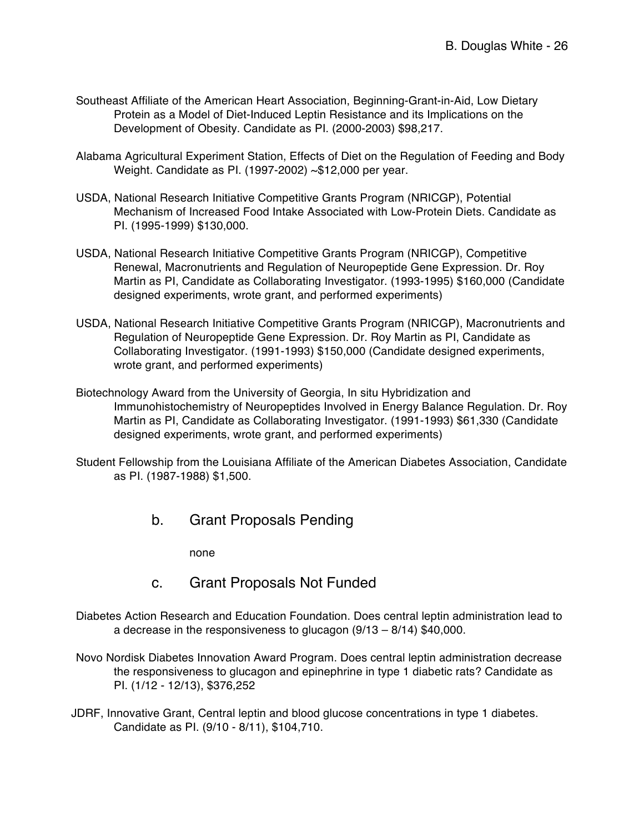- Southeast Affiliate of the American Heart Association, Beginning-Grant-in-Aid, Low Dietary Protein as a Model of Diet-Induced Leptin Resistance and its Implications on the Development of Obesity. Candidate as PI. (2000-2003) \$98,217.
- Alabama Agricultural Experiment Station, Effects of Diet on the Regulation of Feeding and Body Weight. Candidate as PI. (1997-2002) ~\$12,000 per year.
- USDA, National Research Initiative Competitive Grants Program (NRICGP), Potential Mechanism of Increased Food Intake Associated with Low-Protein Diets. Candidate as PI. (1995-1999) \$130,000.
- USDA, National Research Initiative Competitive Grants Program (NRICGP), Competitive Renewal, Macronutrients and Regulation of Neuropeptide Gene Expression. Dr. Roy Martin as PI, Candidate as Collaborating Investigator. (1993-1995) \$160,000 (Candidate designed experiments, wrote grant, and performed experiments)
- USDA, National Research Initiative Competitive Grants Program (NRICGP), Macronutrients and Regulation of Neuropeptide Gene Expression. Dr. Roy Martin as PI, Candidate as Collaborating Investigator. (1991-1993) \$150,000 (Candidate designed experiments, wrote grant, and performed experiments)
- Biotechnology Award from the University of Georgia, In situ Hybridization and Immunohistochemistry of Neuropeptides Involved in Energy Balance Regulation. Dr. Roy Martin as PI, Candidate as Collaborating Investigator. (1991-1993) \$61,330 (Candidate designed experiments, wrote grant, and performed experiments)
- Student Fellowship from the Louisiana Affiliate of the American Diabetes Association, Candidate as PI. (1987-1988) \$1,500.
	- b. Grant Proposals Pending

none

- c. Grant Proposals Not Funded
- Diabetes Action Research and Education Foundation. Does central leptin administration lead to a decrease in the responsiveness to glucagon (9/13 – 8/14) \$40,000.
- Novo Nordisk Diabetes Innovation Award Program. Does central leptin administration decrease the responsiveness to glucagon and epinephrine in type 1 diabetic rats? Candidate as PI. (1/12 - 12/13), \$376,252
- JDRF, Innovative Grant, Central leptin and blood glucose concentrations in type 1 diabetes. Candidate as PI. (9/10 - 8/11), \$104,710.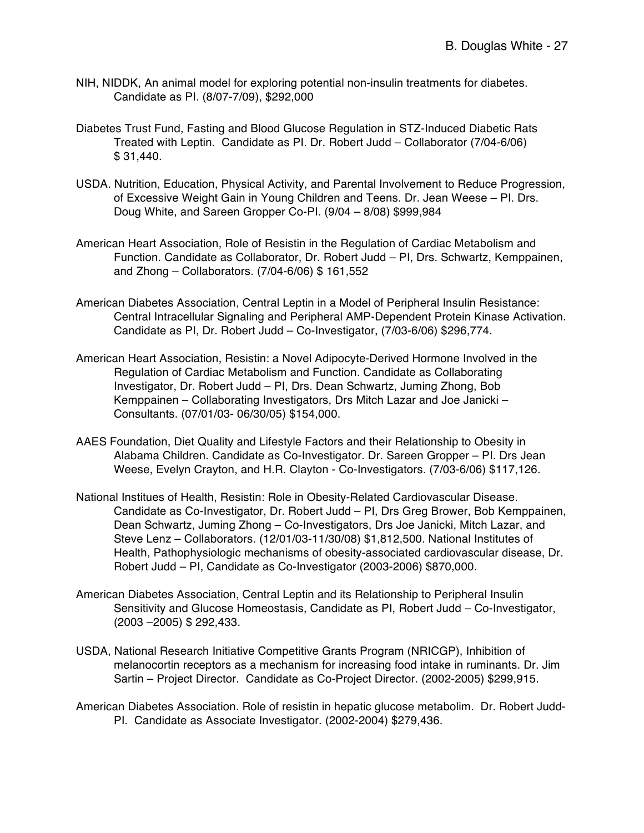- NIH, NIDDK, An animal model for exploring potential non-insulin treatments for diabetes. Candidate as PI. (8/07-7/09), \$292,000
- Diabetes Trust Fund, Fasting and Blood Glucose Regulation in STZ-Induced Diabetic Rats Treated with Leptin. Candidate as PI. Dr. Robert Judd – Collaborator (7/04-6/06) \$ 31,440.
- USDA. Nutrition, Education, Physical Activity, and Parental Involvement to Reduce Progression, of Excessive Weight Gain in Young Children and Teens. Dr. Jean Weese – PI. Drs. Doug White, and Sareen Gropper Co-PI. (9/04 – 8/08) \$999,984
- American Heart Association, Role of Resistin in the Regulation of Cardiac Metabolism and Function. Candidate as Collaborator, Dr. Robert Judd – PI, Drs. Schwartz, Kemppainen, and Zhong – Collaborators. (7/04-6/06) \$ 161,552
- American Diabetes Association, Central Leptin in a Model of Peripheral Insulin Resistance: Central Intracellular Signaling and Peripheral AMP-Dependent Protein Kinase Activation. Candidate as PI, Dr. Robert Judd – Co-Investigator, (7/03-6/06) \$296,774.
- American Heart Association, Resistin: a Novel Adipocyte-Derived Hormone Involved in the Regulation of Cardiac Metabolism and Function. Candidate as Collaborating Investigator, Dr. Robert Judd – PI, Drs. Dean Schwartz, Juming Zhong, Bob Kemppainen – Collaborating Investigators, Drs Mitch Lazar and Joe Janicki – Consultants. (07/01/03- 06/30/05) \$154,000.
- AAES Foundation, Diet Quality and Lifestyle Factors and their Relationship to Obesity in Alabama Children. Candidate as Co-Investigator. Dr. Sareen Gropper – PI. Drs Jean Weese, Evelyn Crayton, and H.R. Clayton - Co-Investigators. (7/03-6/06) \$117,126.
- National Institues of Health, Resistin: Role in Obesity-Related Cardiovascular Disease. Candidate as Co-Investigator, Dr. Robert Judd – PI, Drs Greg Brower, Bob Kemppainen, Dean Schwartz, Juming Zhong – Co-Investigators, Drs Joe Janicki, Mitch Lazar, and Steve Lenz – Collaborators. (12/01/03-11/30/08) \$1,812,500. National Institutes of Health, Pathophysiologic mechanisms of obesity-associated cardiovascular disease, Dr. Robert Judd – PI, Candidate as Co-Investigator (2003-2006) \$870,000.
- American Diabetes Association, Central Leptin and its Relationship to Peripheral Insulin Sensitivity and Glucose Homeostasis, Candidate as PI, Robert Judd – Co-Investigator, (2003 –2005) \$ 292,433.
- USDA, National Research Initiative Competitive Grants Program (NRICGP), Inhibition of melanocortin receptors as a mechanism for increasing food intake in ruminants. Dr. Jim Sartin – Project Director. Candidate as Co-Project Director. (2002-2005) \$299,915.
- American Diabetes Association. Role of resistin in hepatic glucose metabolim. Dr. Robert Judd-PI. Candidate as Associate Investigator. (2002-2004) \$279,436.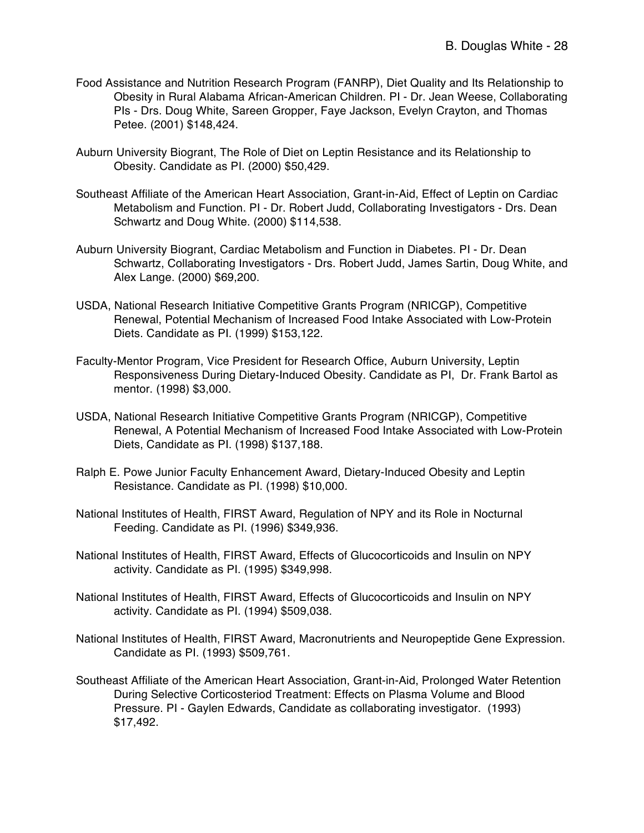- Food Assistance and Nutrition Research Program (FANRP), Diet Quality and Its Relationship to Obesity in Rural Alabama African-American Children. PI - Dr. Jean Weese, Collaborating PIs - Drs. Doug White, Sareen Gropper, Faye Jackson, Evelyn Crayton, and Thomas Petee. (2001) \$148,424.
- Auburn University Biogrant, The Role of Diet on Leptin Resistance and its Relationship to Obesity. Candidate as PI. (2000) \$50,429.
- Southeast Affiliate of the American Heart Association, Grant-in-Aid, Effect of Leptin on Cardiac Metabolism and Function. PI - Dr. Robert Judd, Collaborating Investigators - Drs. Dean Schwartz and Doug White. (2000) \$114,538.
- Auburn University Biogrant, Cardiac Metabolism and Function in Diabetes. PI Dr. Dean Schwartz, Collaborating Investigators - Drs. Robert Judd, James Sartin, Doug White, and Alex Lange. (2000) \$69,200.
- USDA, National Research Initiative Competitive Grants Program (NRICGP), Competitive Renewal, Potential Mechanism of Increased Food Intake Associated with Low-Protein Diets. Candidate as PI. (1999) \$153,122.
- Faculty-Mentor Program, Vice President for Research Office, Auburn University, Leptin Responsiveness During Dietary-Induced Obesity. Candidate as PI, Dr. Frank Bartol as mentor. (1998) \$3,000.
- USDA, National Research Initiative Competitive Grants Program (NRICGP), Competitive Renewal, A Potential Mechanism of Increased Food Intake Associated with Low-Protein Diets, Candidate as PI. (1998) \$137,188.
- Ralph E. Powe Junior Faculty Enhancement Award, Dietary-Induced Obesity and Leptin Resistance. Candidate as PI. (1998) \$10,000.
- National Institutes of Health, FIRST Award, Regulation of NPY and its Role in Nocturnal Feeding. Candidate as PI. (1996) \$349,936.
- National Institutes of Health, FIRST Award, Effects of Glucocorticoids and Insulin on NPY activity. Candidate as PI. (1995) \$349,998.
- National Institutes of Health, FIRST Award, Effects of Glucocorticoids and Insulin on NPY activity. Candidate as PI. (1994) \$509,038.
- National Institutes of Health, FIRST Award, Macronutrients and Neuropeptide Gene Expression. Candidate as PI. (1993) \$509,761.
- Southeast Affiliate of the American Heart Association, Grant-in-Aid, Prolonged Water Retention During Selective Corticosteriod Treatment: Effects on Plasma Volume and Blood Pressure. PI - Gaylen Edwards, Candidate as collaborating investigator. (1993) \$17,492.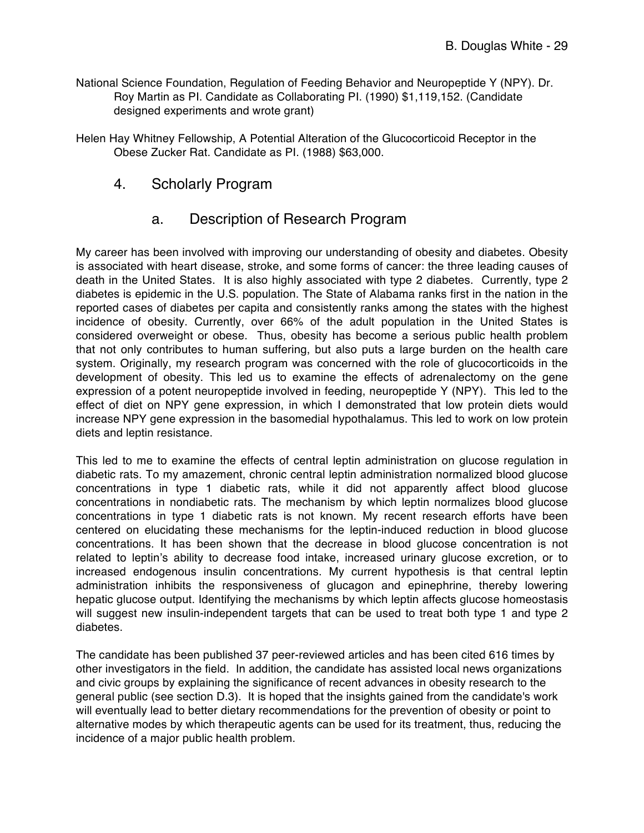- National Science Foundation, Regulation of Feeding Behavior and Neuropeptide Y (NPY). Dr. Roy Martin as PI. Candidate as Collaborating PI. (1990) \$1,119,152. (Candidate designed experiments and wrote grant)
- Helen Hay Whitney Fellowship, A Potential Alteration of the Glucocorticoid Receptor in the Obese Zucker Rat. Candidate as PI. (1988) \$63,000.
	- 4. Scholarly Program

#### a. Description of Research Program

My career has been involved with improving our understanding of obesity and diabetes. Obesity is associated with heart disease, stroke, and some forms of cancer: the three leading causes of death in the United States. It is also highly associated with type 2 diabetes. Currently, type 2 diabetes is epidemic in the U.S. population. The State of Alabama ranks first in the nation in the reported cases of diabetes per capita and consistently ranks among the states with the highest incidence of obesity. Currently, over 66% of the adult population in the United States is considered overweight or obese. Thus, obesity has become a serious public health problem that not only contributes to human suffering, but also puts a large burden on the health care system. Originally, my research program was concerned with the role of glucocorticoids in the development of obesity. This led us to examine the effects of adrenalectomy on the gene expression of a potent neuropeptide involved in feeding, neuropeptide Y (NPY). This led to the effect of diet on NPY gene expression, in which I demonstrated that low protein diets would increase NPY gene expression in the basomedial hypothalamus. This led to work on low protein diets and leptin resistance.

This led to me to examine the effects of central leptin administration on glucose regulation in diabetic rats. To my amazement, chronic central leptin administration normalized blood glucose concentrations in type 1 diabetic rats, while it did not apparently affect blood glucose concentrations in nondiabetic rats. The mechanism by which leptin normalizes blood glucose concentrations in type 1 diabetic rats is not known. My recent research efforts have been centered on elucidating these mechanisms for the leptin-induced reduction in blood glucose concentrations. It has been shown that the decrease in blood glucose concentration is not related to leptin's ability to decrease food intake, increased urinary glucose excretion, or to increased endogenous insulin concentrations. My current hypothesis is that central leptin administration inhibits the responsiveness of glucagon and epinephrine, thereby lowering hepatic glucose output. Identifying the mechanisms by which leptin affects glucose homeostasis will suggest new insulin-independent targets that can be used to treat both type 1 and type 2 diabetes.

The candidate has been published 37 peer-reviewed articles and has been cited 616 times by other investigators in the field. In addition, the candidate has assisted local news organizations and civic groups by explaining the significance of recent advances in obesity research to the general public (see section D.3). It is hoped that the insights gained from the candidate's work will eventually lead to better dietary recommendations for the prevention of obesity or point to alternative modes by which therapeutic agents can be used for its treatment, thus, reducing the incidence of a major public health problem.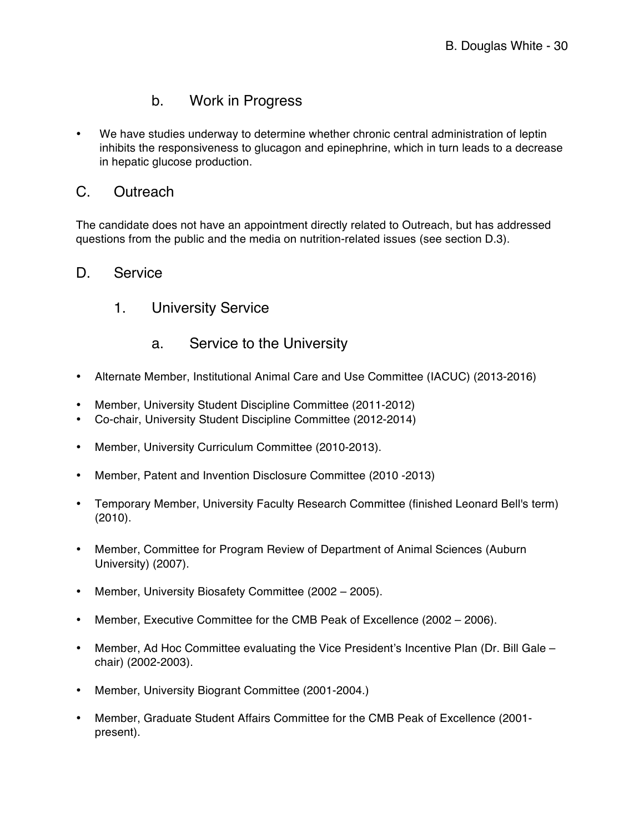# b. Work in Progress

• We have studies underway to determine whether chronic central administration of leptin inhibits the responsiveness to glucagon and epinephrine, which in turn leads to a decrease in hepatic glucose production.

#### C. Outreach

The candidate does not have an appointment directly related to Outreach, but has addressed questions from the public and the media on nutrition-related issues (see section D.3).

#### D. Service

1. University Service

## a. Service to the University

- Alternate Member, Institutional Animal Care and Use Committee (IACUC) (2013-2016)
- Member, University Student Discipline Committee (2011-2012)
- Co-chair, University Student Discipline Committee (2012-2014)
- Member, University Curriculum Committee (2010-2013).
- Member, Patent and Invention Disclosure Committee (2010 -2013)
- Temporary Member, University Faculty Research Committee (finished Leonard Bell's term) (2010).
- Member, Committee for Program Review of Department of Animal Sciences (Auburn University) (2007).
- Member, University Biosafety Committee (2002 2005).
- Member, Executive Committee for the CMB Peak of Excellence (2002 2006).
- Member, Ad Hoc Committee evaluating the Vice President's Incentive Plan (Dr. Bill Gale chair) (2002-2003).
- Member, University Biogrant Committee (2001-2004.)
- Member, Graduate Student Affairs Committee for the CMB Peak of Excellence (2001 present).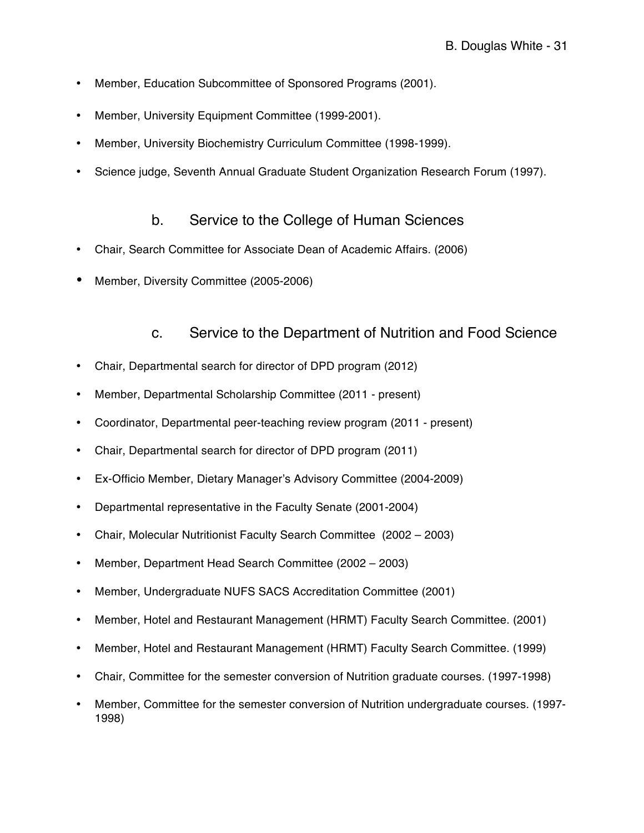- Member, Education Subcommittee of Sponsored Programs (2001).
- Member, University Equipment Committee (1999-2001).
- Member, University Biochemistry Curriculum Committee (1998-1999).
- Science judge, Seventh Annual Graduate Student Organization Research Forum (1997).

#### b. Service to the College of Human Sciences

- Chair, Search Committee for Associate Dean of Academic Affairs. (2006)
- Member, Diversity Committee (2005-2006)

#### c. Service to the Department of Nutrition and Food Science

- Chair, Departmental search for director of DPD program (2012)
- Member, Departmental Scholarship Committee (2011 present)
- Coordinator, Departmental peer-teaching review program (2011 present)
- Chair, Departmental search for director of DPD program (2011)
- Ex-Officio Member, Dietary Manager's Advisory Committee (2004-2009)
- Departmental representative in the Faculty Senate (2001-2004)
- Chair, Molecular Nutritionist Faculty Search Committee (2002 2003)
- Member, Department Head Search Committee (2002 2003)
- Member, Undergraduate NUFS SACS Accreditation Committee (2001)
- Member, Hotel and Restaurant Management (HRMT) Faculty Search Committee. (2001)
- Member, Hotel and Restaurant Management (HRMT) Faculty Search Committee. (1999)
- Chair, Committee for the semester conversion of Nutrition graduate courses. (1997-1998)
- Member, Committee for the semester conversion of Nutrition undergraduate courses. (1997- 1998)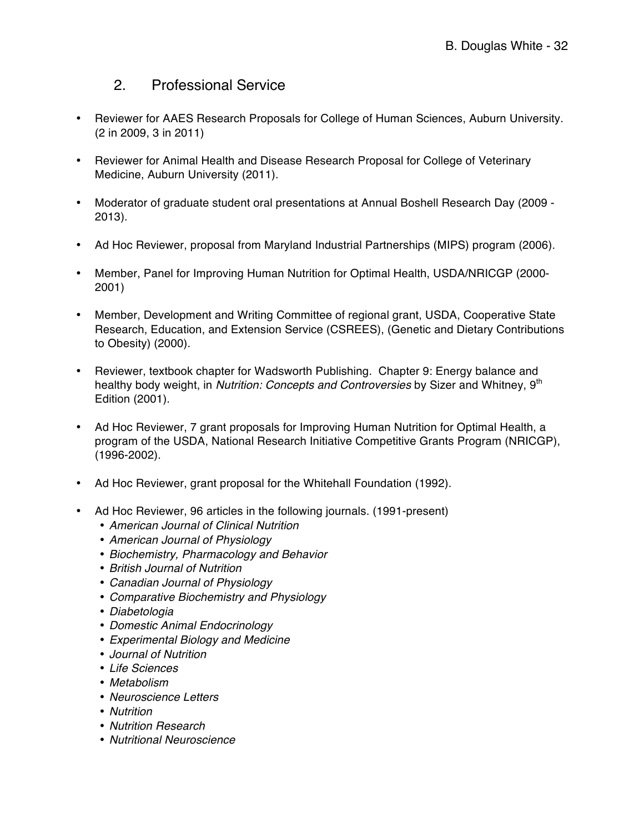# 2. Professional Service

- Reviewer for AAES Research Proposals for College of Human Sciences, Auburn University. (2 in 2009, 3 in 2011)
- Reviewer for Animal Health and Disease Research Proposal for College of Veterinary Medicine, Auburn University (2011).
- Moderator of graduate student oral presentations at Annual Boshell Research Day (2009 2013).
- Ad Hoc Reviewer, proposal from Maryland Industrial Partnerships (MIPS) program (2006).
- Member, Panel for Improving Human Nutrition for Optimal Health, USDA/NRICGP (2000- 2001)
- Member, Development and Writing Committee of regional grant, USDA, Cooperative State Research, Education, and Extension Service (CSREES), (Genetic and Dietary Contributions to Obesity) (2000).
- Reviewer, textbook chapter for Wadsworth Publishing. Chapter 9: Energy balance and healthy body weight, in *Nutrition: Concepts and Controversies* by Sizer and Whitney, 9<sup>th</sup> Edition (2001).
- Ad Hoc Reviewer, 7 grant proposals for Improving Human Nutrition for Optimal Health, a program of the USDA, National Research Initiative Competitive Grants Program (NRICGP), (1996-2002).
- Ad Hoc Reviewer, grant proposal for the Whitehall Foundation (1992).
- Ad Hoc Reviewer, 96 articles in the following journals. (1991-present)
	- *American Journal of Clinical Nutrition*
	- *American Journal of Physiology*
	- *Biochemistry, Pharmacology and Behavior*
	- *British Journal of Nutrition*
	- *Canadian Journal of Physiology*
	- *Comparative Biochemistry and Physiology*
	- *Diabetologia*
	- *Domestic Animal Endocrinology*
	- *Experimental Biology and Medicine*
	- *Journal of Nutrition*
	- *Life Sciences*
	- *Metabolism*
	- *Neuroscience Letters*
	- *Nutrition*
	- *Nutrition Research*
	- *Nutritional Neuroscience*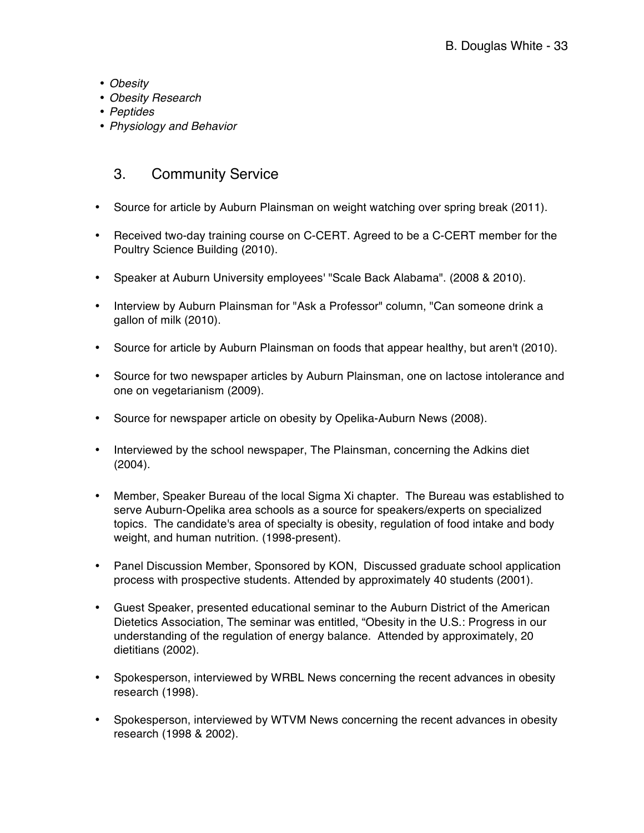- *Obesity*
- *Obesity Research*
- *Peptides*
- *Physiology and Behavior*

# 3. Community Service

- Source for article by Auburn Plainsman on weight watching over spring break (2011).
- Received two-day training course on C-CERT. Agreed to be a C-CERT member for the Poultry Science Building (2010).
- Speaker at Auburn University employees' "Scale Back Alabama". (2008 & 2010).
- Interview by Auburn Plainsman for "Ask a Professor" column, "Can someone drink a gallon of milk (2010).
- Source for article by Auburn Plainsman on foods that appear healthy, but aren't (2010).
- Source for two newspaper articles by Auburn Plainsman, one on lactose intolerance and one on vegetarianism (2009).
- Source for newspaper article on obesity by Opelika-Auburn News (2008).
- Interviewed by the school newspaper, The Plainsman, concerning the Adkins diet (2004).
- Member, Speaker Bureau of the local Sigma Xi chapter. The Bureau was established to serve Auburn-Opelika area schools as a source for speakers/experts on specialized topics. The candidate's area of specialty is obesity, regulation of food intake and body weight, and human nutrition. (1998-present).
- Panel Discussion Member, Sponsored by KON, Discussed graduate school application process with prospective students. Attended by approximately 40 students (2001).
- Guest Speaker, presented educational seminar to the Auburn District of the American Dietetics Association, The seminar was entitled, "Obesity in the U.S.: Progress in our understanding of the regulation of energy balance. Attended by approximately, 20 dietitians (2002).
- Spokesperson, interviewed by WRBL News concerning the recent advances in obesity research (1998).
- Spokesperson, interviewed by WTVM News concerning the recent advances in obesity research (1998 & 2002).